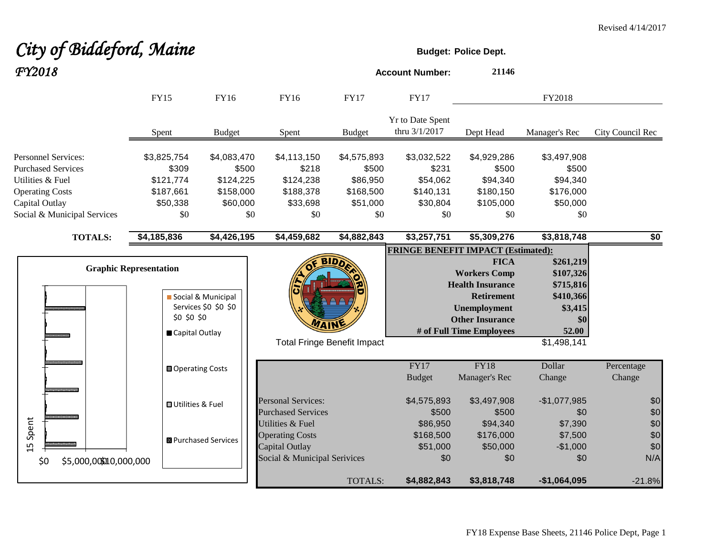| FY2018                                                                                                                                                 |                                                                   |                                                                   |                                                                                              |                                                                  | <b>Account Number:</b>                                           | 21146                                                                                                                                                           |                                                                                            |                          |
|--------------------------------------------------------------------------------------------------------------------------------------------------------|-------------------------------------------------------------------|-------------------------------------------------------------------|----------------------------------------------------------------------------------------------|------------------------------------------------------------------|------------------------------------------------------------------|-----------------------------------------------------------------------------------------------------------------------------------------------------------------|--------------------------------------------------------------------------------------------|--------------------------|
|                                                                                                                                                        | <b>FY15</b>                                                       | FY16                                                              | FY16                                                                                         | <b>FY17</b>                                                      | <b>FY17</b>                                                      |                                                                                                                                                                 | FY2018                                                                                     |                          |
|                                                                                                                                                        | Spent                                                             | <b>Budget</b>                                                     | Spent                                                                                        | <b>Budget</b>                                                    | Yr to Date Spent<br>thru 3/1/2017                                | Dept Head                                                                                                                                                       | Manager's Rec                                                                              | City Council Rec         |
| <b>Personnel Services:</b><br><b>Purchased Services</b><br>Utilities & Fuel<br><b>Operating Costs</b><br>Capital Outlay<br>Social & Municipal Services | \$3,825,754<br>\$309<br>\$121,774<br>\$187,661<br>\$50,338<br>\$0 | \$4,083,470<br>\$500<br>\$124,225<br>\$158,000<br>\$60,000<br>\$0 | \$4,113,150<br>\$218<br>\$124,238<br>\$188,378<br>\$33,698<br>\$0                            | \$4,575,893<br>\$500<br>\$86,950<br>\$168,500<br>\$51,000<br>\$0 | \$3,032,522<br>\$231<br>\$54,062<br>\$140,131<br>\$30,804<br>\$0 | \$4,929,286<br>\$500<br>\$94,340<br>\$180,150<br>\$105,000<br>\$0                                                                                               | \$3,497,908<br>\$500<br>\$94,340<br>\$176,000<br>\$50,000<br>\$0                           |                          |
| <b>TOTALS:</b>                                                                                                                                         | \$4,185,836                                                       | \$4,426,195                                                       | \$4,459,682                                                                                  | \$4,882,843                                                      | \$3,257,751                                                      | \$5,309,276                                                                                                                                                     | \$3,818,748                                                                                | \$0                      |
|                                                                                                                                                        |                                                                   |                                                                   |                                                                                              |                                                                  | <b>FRINGE BENEFIT IMPACT (Estimated):</b>                        |                                                                                                                                                                 |                                                                                            |                          |
|                                                                                                                                                        | <b>Graphic Representation</b><br>\$0 \$0 \$0<br>Capital Outlay    | Social & Municipal<br>Services \$0 \$0 \$0                        | <b>MAIN</b>                                                                                  | <b>Total Fringe Benefit Impact</b>                               |                                                                  | <b>FICA</b><br><b>Workers Comp</b><br><b>Health Insurance</b><br><b>Retirement</b><br><b>Unemployment</b><br><b>Other Insurance</b><br># of Full Time Employees | \$261,219<br>\$107,326<br>\$715,816<br>\$410,366<br>\$3,415<br>\$0<br>52.00<br>\$1,498,141 |                          |
|                                                                                                                                                        | <b>□ Operating Costs</b>                                          |                                                                   |                                                                                              |                                                                  | FY17<br><b>Budget</b>                                            | <b>FY18</b><br>Manager's Rec                                                                                                                                    | Dollar<br>Change                                                                           | Percentage<br>Change     |
|                                                                                                                                                        | <b>□</b> Utilities & Fuel                                         |                                                                   | <b>Personal Services:</b><br><b>Purchased Services</b>                                       |                                                                  | \$4,575,893<br>\$500                                             | \$3,497,908<br>\$500                                                                                                                                            | $-$1,077,985$<br>\$0                                                                       | \$0<br>\$0               |
| Spent<br>ഥ                                                                                                                                             |                                                                   | ■ Purchased Services                                              | Utilities & Fuel<br><b>Operating Costs</b><br>Capital Outlay<br>Social & Municipal Serivices |                                                                  | \$86,950<br>\$168,500<br>\$51,000<br>\$0                         | \$94,340<br>\$176,000<br>\$50,000<br>\$0                                                                                                                        | \$7,390<br>\$7,500<br>$-$1,000$<br>\$0                                                     | \$0<br>\$0<br>\$0<br>N/A |
| \$0<br>\$5,000,00000,000,000                                                                                                                           |                                                                   |                                                                   |                                                                                              | <b>TOTALS:</b>                                                   | \$4,882,843                                                      | \$3,818,748                                                                                                                                                     | $-$1,064,095$                                                                              | $-21.8%$                 |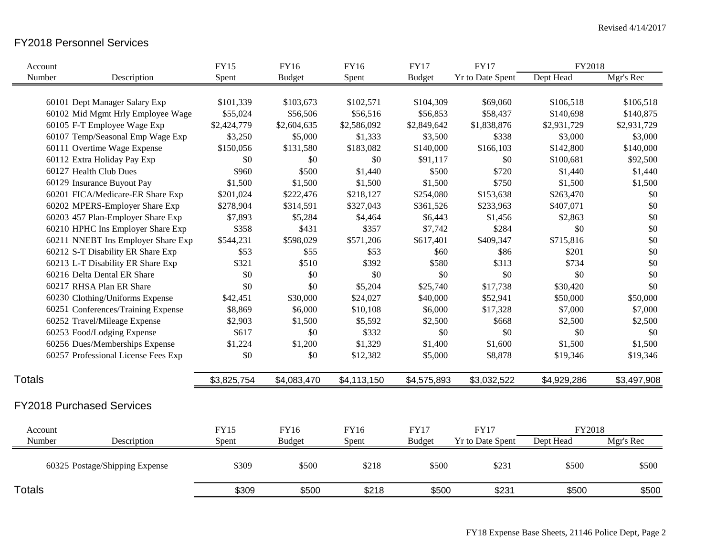## FY2018 Personnel Services

|               | Account                             | <b>FY15</b> | <b>FY16</b>   | <b>FY16</b> | <b>FY17</b>   | <b>FY17</b>             | FY2018      |             |
|---------------|-------------------------------------|-------------|---------------|-------------|---------------|-------------------------|-------------|-------------|
|               | Number<br>Description               | Spent       | <b>Budget</b> | Spent       | <b>Budget</b> | Yr to Date Spent        | Dept Head   | Mgr's Rec   |
|               |                                     |             |               |             |               |                         |             |             |
|               | 60101 Dept Manager Salary Exp       | \$101,339   | \$103,673     | \$102,571   | \$104,309     | \$69,060                | \$106,518   | \$106,518   |
|               | 60102 Mid Mgmt Hrly Employee Wage   | \$55,024    | \$56,506      | \$56,516    | \$56,853      | \$58,437                | \$140,698   | \$140,875   |
|               | 60105 F-T Employee Wage Exp         | \$2,424,779 | \$2,604,635   | \$2,586,092 | \$2,849,642   | \$1,838,876             | \$2,931,729 | \$2,931,729 |
|               | 60107 Temp/Seasonal Emp Wage Exp    | \$3,250     | \$5,000       | \$1,333     | \$3,500       | \$338                   | \$3,000     | \$3,000     |
|               | 60111 Overtime Wage Expense         | \$150,056   | \$131,580     | \$183,082   | \$140,000     | \$166,103               | \$142,800   | \$140,000   |
|               | 60112 Extra Holiday Pay Exp         | \$0         | \$0           | \$0         | \$91,117      | \$0                     | \$100,681   | \$92,500    |
|               | 60127 Health Club Dues              | \$960       | \$500         | \$1,440     | \$500         | \$720                   | \$1,440     | \$1,440     |
|               | 60129 Insurance Buyout Pay          | \$1,500     | \$1,500       | \$1,500     | \$1,500       | \$750                   | \$1,500     | \$1,500     |
|               | 60201 FICA/Medicare-ER Share Exp    | \$201,024   | \$222,476     | \$218,127   | \$254,080     | \$153,638               | \$263,470   | \$0         |
|               | 60202 MPERS-Employer Share Exp      | \$278,904   | \$314,591     | \$327,043   | \$361,526     | \$233,963               | \$407,071   | $\$0$       |
|               | 60203 457 Plan-Employer Share Exp   | \$7,893     | \$5,284       | \$4,464     | \$6,443       | \$1,456                 | \$2,863     | $\$0$       |
|               | 60210 HPHC Ins Employer Share Exp   | \$358       | \$431         | \$357       | \$7,742       | \$284                   | \$0         | $\$0$       |
|               | 60211 NNEBT Ins Employer Share Exp  | \$544,231   | \$598,029     | \$571,206   | \$617,401     | \$409,347               | \$715,816   | $\$0$       |
|               | 60212 S-T Disability ER Share Exp   | \$53        | \$55          | \$53        | \$60          | \$86                    | \$201       | \$0         |
|               | 60213 L-T Disability ER Share Exp   | \$321       | \$510         | \$392       | \$580         | \$313                   | \$734       | \$0         |
|               | 60216 Delta Dental ER Share         | \$0         | \$0           | \$0         | \$0           | \$0                     | \$0         | \$0         |
|               | 60217 RHSA Plan ER Share            | \$0         | \$0           | \$5,204     | \$25,740      | \$17,738                | \$30,420    | \$0         |
|               | 60230 Clothing/Uniforms Expense     | \$42,451    | \$30,000      | \$24,027    | \$40,000      | \$52,941                | \$50,000    | \$50,000    |
|               | 60251 Conferences/Training Expense  | \$8,869     | \$6,000       | \$10,108    | \$6,000       | \$17,328                | \$7,000     | \$7,000     |
|               | 60252 Travel/Mileage Expense        | \$2,903     | \$1,500       | \$5,592     | \$2,500       | \$668                   | \$2,500     | \$2,500     |
|               | 60253 Food/Lodging Expense          | \$617       | \$0           | \$332       | \$0           | \$0                     | \$0         | \$0         |
|               | 60256 Dues/Memberships Expense      | \$1,224     | \$1,200       | \$1,329     | \$1,400       | \$1,600                 | \$1,500     | \$1,500     |
|               | 60257 Professional License Fees Exp | \$0         | \$0           | \$12,382    | \$5,000       | \$8,878                 | \$19,346    | \$19,346    |
| <b>Totals</b> |                                     | \$3,825,754 | \$4,083,470   | \$4,113,150 | \$4,575,893   | \$3,032,522             | \$4,929,286 | \$3,497,908 |
|               | <b>FY2018 Purchased Services</b>    |             |               |             |               |                         |             |             |
|               | Account                             | <b>FY15</b> | FY16          | FY16        | <b>FY17</b>   | <b>FY17</b>             | FY2018      |             |
|               | Number<br>Description               | Spent       | <b>Budget</b> | Spent       | <b>Budget</b> | <b>Yr to Date Spent</b> | Dept Head   | Mgr's Rec   |
|               |                                     |             |               |             |               |                         |             |             |
|               | 60325 Postage/Shipping Expense      | \$309       | \$500         | \$218       | \$500         | \$231                   | \$500       | \$500       |
| <b>Totals</b> |                                     | \$309       | \$500         | \$218       | \$500         | \$231                   | \$500       | \$500       |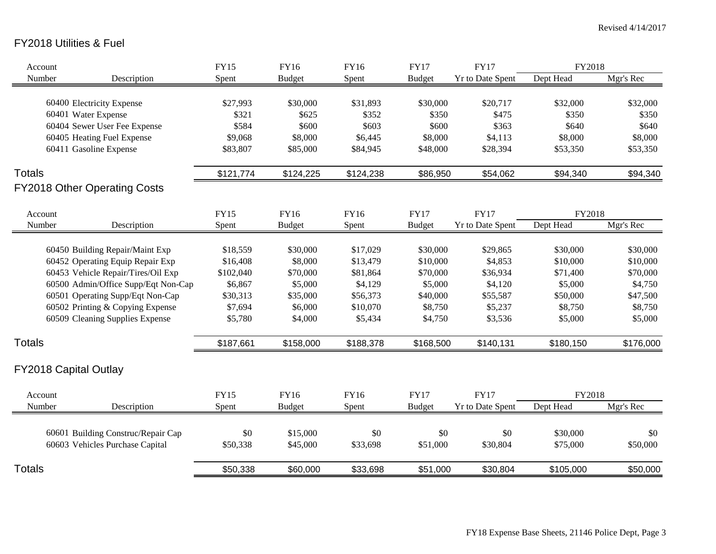# FY2018 Utilities & Fuel

| Account       |                                     | <b>FY15</b> | <b>FY16</b>   | <b>FY16</b> | <b>FY17</b>   | <b>FY17</b>             | FY2018    |           |
|---------------|-------------------------------------|-------------|---------------|-------------|---------------|-------------------------|-----------|-----------|
| Number        | Description                         | Spent       | <b>Budget</b> | Spent       | <b>Budget</b> | Yr to Date Spent        | Dept Head | Mgr's Rec |
|               |                                     |             |               |             |               |                         |           |           |
|               | 60400 Electricity Expense           | \$27,993    | \$30,000      | \$31,893    | \$30,000      | \$20,717                | \$32,000  | \$32,000  |
|               | 60401 Water Expense                 | \$321       | \$625         | \$352       | \$350         | \$475                   | \$350     | \$350     |
|               | 60404 Sewer User Fee Expense        | \$584       | \$600         | \$603       | \$600         | \$363                   | \$640     | \$640     |
|               | 60405 Heating Fuel Expense          | \$9,068     | \$8,000       | \$6,445     | \$8,000       | \$4,113                 | \$8,000   | \$8,000   |
|               | 60411 Gasoline Expense              | \$83,807    | \$85,000      | \$84,945    | \$48,000      | \$28,394                | \$53,350  | \$53,350  |
| <b>Totals</b> |                                     | \$121,774   | \$124,225     | \$124,238   | \$86,950      | \$54,062                | \$94,340  | \$94,340  |
|               | <b>FY2018 Other Operating Costs</b> |             |               |             |               |                         |           |           |
| Account       |                                     | <b>FY15</b> | <b>FY16</b>   | FY16        | <b>FY17</b>   | <b>FY17</b>             | FY2018    |           |
| Number        | Description                         | Spent       | <b>Budget</b> | Spent       | <b>Budget</b> | Yr to Date Spent        | Dept Head | Mgr's Rec |
|               |                                     |             |               |             |               |                         |           |           |
|               | 60450 Building Repair/Maint Exp     | \$18,559    | \$30,000      | \$17,029    | \$30,000      | \$29,865                | \$30,000  | \$30,000  |
|               | 60452 Operating Equip Repair Exp    | \$16,408    | \$8,000       | \$13,479    | \$10,000      | \$4,853                 | \$10,000  | \$10,000  |
|               | 60453 Vehicle Repair/Tires/Oil Exp  | \$102,040   | \$70,000      | \$81,864    | \$70,000      | \$36,934                | \$71,400  | \$70,000  |
|               | 60500 Admin/Office Supp/Eqt Non-Cap | \$6,867     | \$5,000       | \$4,129     | \$5,000       | \$4,120                 | \$5,000   | \$4,750   |
|               | 60501 Operating Supp/Eqt Non-Cap    | \$30,313    | \$35,000      | \$56,373    | \$40,000      | \$55,587                | \$50,000  | \$47,500  |
|               | 60502 Printing & Copying Expense    | \$7,694     | \$6,000       | \$10,070    | \$8,750       | \$5,237                 | \$8,750   | \$8,750   |
|               | 60509 Cleaning Supplies Expense     | \$5,780     | \$4,000       | \$5,434     | \$4,750       | \$3,536                 | \$5,000   | \$5,000   |
| <b>Totals</b> |                                     | \$187,661   | \$158,000     | \$188,378   | \$168,500     | \$140,131               | \$180,150 | \$176,000 |
|               |                                     |             |               |             |               |                         |           |           |
|               | <b>FY2018 Capital Outlay</b>        |             |               |             |               |                         |           |           |
| Account       |                                     | <b>FY15</b> | <b>FY16</b>   | FY16        | <b>FY17</b>   | <b>FY17</b>             | FY2018    |           |
| Number        | Description                         | Spent       | <b>Budget</b> | Spent       | <b>Budget</b> | <b>Yr to Date Spent</b> | Dept Head | Mgr's Rec |
|               |                                     |             |               |             |               |                         |           |           |
|               | 60601 Building Construc/Repair Cap  | \$0         | \$15,000      | \$0         | \$0           | \$0                     | \$30,000  | \$0       |
|               | 60603 Vehicles Purchase Capital     | \$50,338    | \$45,000      | \$33,698    | \$51,000      | \$30,804                | \$75,000  | \$50,000  |
|               |                                     |             |               |             |               |                         |           |           |
| <b>Totals</b> |                                     | \$50,338    | \$60,000      | \$33,698    | \$51,000      | \$30,804                | \$105,000 | \$50,000  |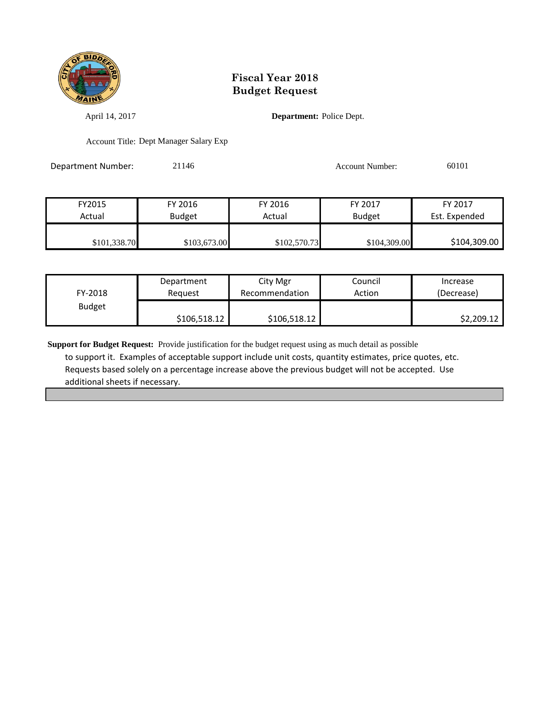

April 14, 2017 **Department:** Police Dept.

Account Title: Dept Manager Salary Exp

Department Number: 21146 21146 Account Number: 60101

FY2015 FY 2016 FY 2016 FY 2017 FY 2017 Actual Budget Actual Budget Est. Expended \$101,338.70 \$103,673.00 \$102,570.73 \$104,309.00 \$104,309.00

| FY-2018       | Department   | City Mgr       | Council | Increase   |
|---------------|--------------|----------------|---------|------------|
|               | Reguest      | Recommendation | Action  | (Decrease) |
| <b>Budget</b> | \$106,518.12 | \$106,518.12   |         | \$2,209.12 |

**Support for Budget Request:** Provide justification for the budget request using as much detail as possible to support it. Examples of acceptable support include unit costs, quantity estimates, price quotes, etc. Requests based solely on a percentage increase above the previous budget will not be accepted. Use additional sheets if necessary.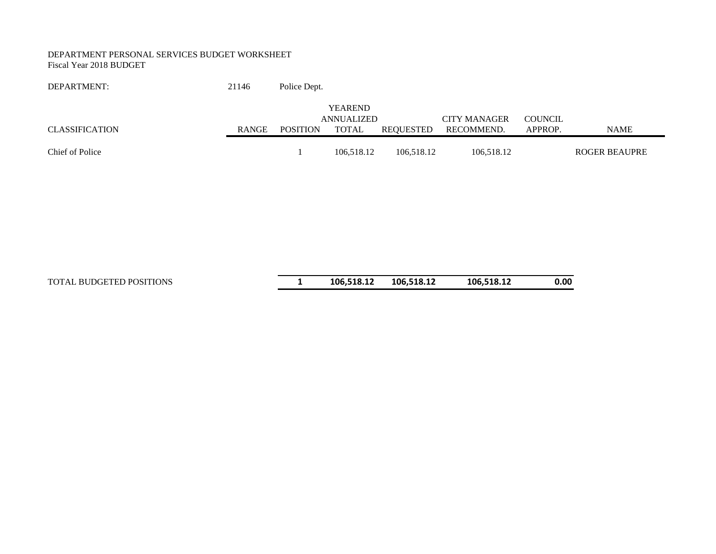#### DEPARTMENT PERSONAL SERVICES BUDGET WORKSHEET Fiscal Year 2018 BUDGET

#### DEPARTMENT: 21146 Police Dept.

|                       |              |                 | <b>YEAREND</b> |            |                     |                |               |
|-----------------------|--------------|-----------------|----------------|------------|---------------------|----------------|---------------|
|                       |              |                 | ANNUALIZED     |            | <b>CITY MANAGER</b> | <b>COUNCIL</b> |               |
| <b>CLASSIFICATION</b> | <b>RANGE</b> | <b>POSITION</b> | TOTAL          | REOUESTED  | RECOMMEND.          | APPROP.        | NAME          |
|                       |              |                 |                |            |                     |                |               |
| Chief of Police       |              |                 | 106.518.12     | 106.518.12 | 106.518.12          |                | ROGER BEAUPRE |

#### TOTAL BUDGETED POSITIONS **1 106,518.12 106,518.12 106,518.12 0.00**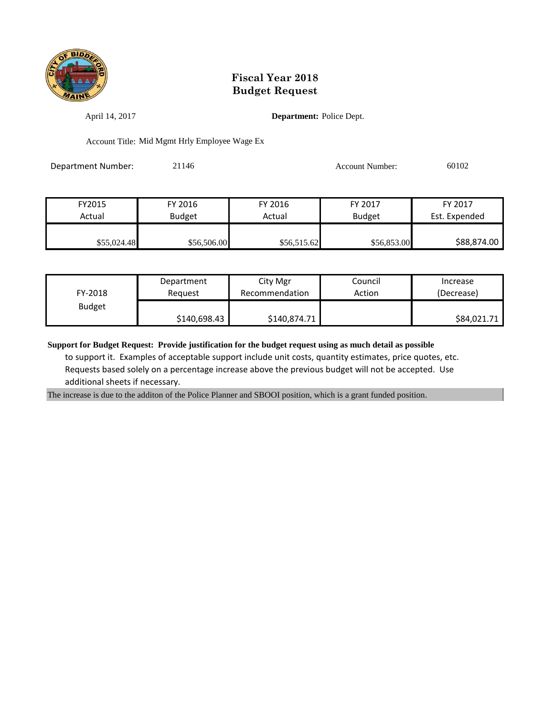

April 14, 2017 **Department:** Police Dept.

Account Title: Mid Mgmt Hrly Employee Wage Ex

Department Number: 21146 21146 Account Number: 60102

| FY2015      | FY 2016     | FY 2016     | FY 2017       | FY 2017       |
|-------------|-------------|-------------|---------------|---------------|
| Actual      | Budget      | Actual      | <b>Budget</b> | Est. Expended |
|             |             |             |               |               |
| \$55,024.48 | \$56,506.00 | \$56,515.62 | \$56,853.00   | \$88,874.00   |

| FY-2018       | Department   | City Mgr       | Council | Increase    |
|---------------|--------------|----------------|---------|-------------|
|               | Reauest      | Recommendation | Action  | (Decrease)  |
| <b>Budget</b> | \$140,698.43 | \$140,874.71   |         | \$84,021.71 |

**Support for Budget Request: Provide justification for the budget request using as much detail as possible** to support it. Examples of acceptable support include unit costs, quantity estimates, price quotes, etc. Requests based solely on a percentage increase above the previous budget will not be accepted. Use additional sheets if necessary.

The increase is due to the additon of the Police Planner and SBOOI position, which is a grant funded position.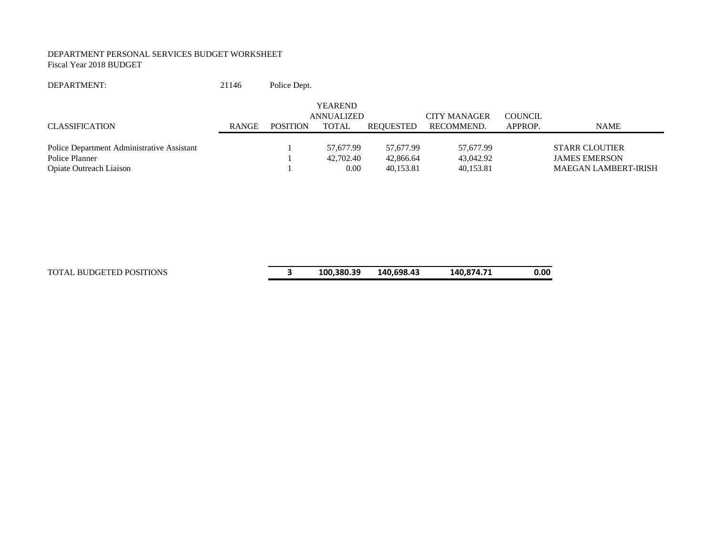#### DEPARTMENT PERSONAL SERVICES BUDGET WORKSHEET Fiscal Year 2018 BUDGET

#### DEPARTMENT: 21146 Police Dept.

|                                            |       |                 | <b>YEAREND</b> |           |                     |                |                             |
|--------------------------------------------|-------|-----------------|----------------|-----------|---------------------|----------------|-----------------------------|
|                                            |       |                 | ANNUALIZED     |           | <b>CITY MANAGER</b> | <b>COUNCIL</b> |                             |
| CLASSIFICATION                             | RANGE | <b>POSITION</b> | TOTAL          | REOUESTED | RECOMMEND.          | APPROP.        | <b>NAME</b>                 |
|                                            |       |                 |                |           |                     |                |                             |
| Police Department Administrative Assistant |       |                 | 57.677.99      | 57.677.99 | 57.677.99           |                | <b>STARR CLOUTIER</b>       |
| Police Planner                             |       |                 | 42,702.40      | 42,866.64 | 43,042.92           |                | <b>JAMES EMERSON</b>        |
| <b>Opiate Outreach Liaison</b>             |       |                 | 0.00           | 40.153.81 | 40,153.81           |                | <b>MAEGAN LAMBERT-IRISH</b> |

| 100,380.39<br>140,698.43<br>140,874.71<br>TOTAL BUDGETED POSITIONS | 0.00 |
|--------------------------------------------------------------------|------|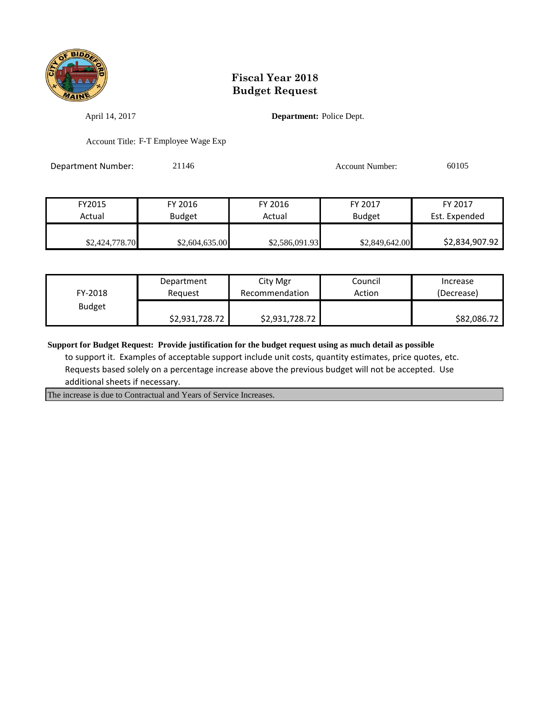

April 14, 2017 **Department:** Police Dept.

Account Title: F-T Employee Wage Exp

Department Number: 21146 21146 Account Number: 60105

| FY2015         | FY 2016        | FY 2016        | FY 2017        | FY 2017        |
|----------------|----------------|----------------|----------------|----------------|
| Actual         | <b>Budget</b>  | Actual         | <b>Budget</b>  | Est. Expended  |
|                |                |                |                |                |
| \$2,424,778.70 | \$2,604,635.00 | \$2,586,091.93 | \$2,849,642.00 | \$2,834,907.92 |

| FY-2018       | Department     | City Mgr       | Council | Increase    |
|---------------|----------------|----------------|---------|-------------|
|               | Reguest        | Recommendation | Action  | (Decrease)  |
| <b>Budget</b> | \$2,931,728.72 | \$2,931,728.72 |         | \$82,086.72 |

**Support for Budget Request: Provide justification for the budget request using as much detail as possible**

 to support it. Examples of acceptable support include unit costs, quantity estimates, price quotes, etc. Requests based solely on a percentage increase above the previous budget will not be accepted. Use additional sheets if necessary.

The increase is due to Contractual and Years of Service Increases.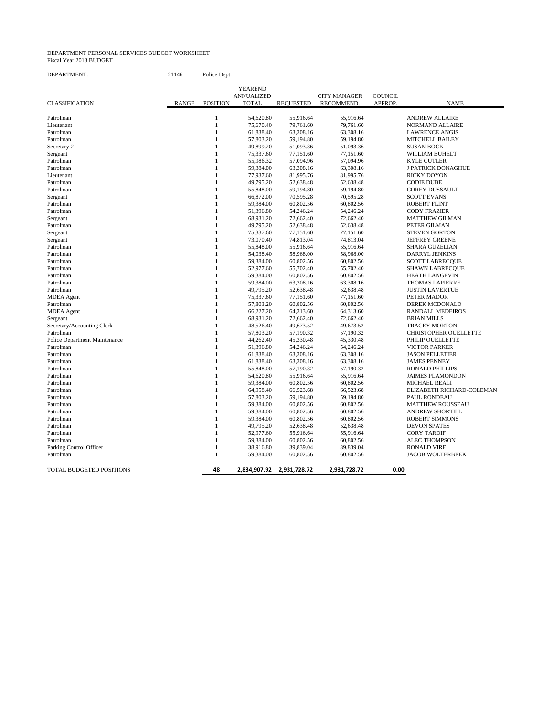#### DEPARTMENT PERSONAL SERVICES BUDGET WORKSHEET Fiscal Year 2018 BUDGET

| DEPARTMENT: | 21146 | Police Dept. |
|-------------|-------|--------------|
|-------------|-------|--------------|

|                               |              |                 | <b>YEAREND</b>    |                  |                     |                |                              |
|-------------------------------|--------------|-----------------|-------------------|------------------|---------------------|----------------|------------------------------|
|                               |              |                 | <b>ANNUALIZED</b> |                  | <b>CITY MANAGER</b> | <b>COUNCIL</b> |                              |
| <b>CLASSIFICATION</b>         | <b>RANGE</b> | <b>POSITION</b> | <b>TOTAL</b>      | <b>REQUESTED</b> | RECOMMEND.          | APPROP.        | <b>NAME</b>                  |
|                               |              |                 |                   |                  |                     |                |                              |
| Patrolman                     |              | 1               | 54,620.80         | 55,916.64        | 55,916.64           |                | <b>ANDREW ALLAIRE</b>        |
| Lieutenant                    |              | $\mathbf{1}$    | 75,670.40         | 79,761.60        | 79,761.60           |                | <b>NORMAND ALLAIRE</b>       |
| Patrolman                     |              | 1               | 61,838.40         | 63,308.16        | 63,308.16           |                | <b>LAWRENCE ANGIS</b>        |
| Patrolman                     |              | 1               | 57,803.20         | 59,194.80        | 59,194.80           |                | <b>MITCHELL BAILEY</b>       |
| Secretary 2                   |              | 1               | 49,899.20         | 51,093.36        | 51,093.36           |                | <b>SUSAN BOCK</b>            |
| Sergeant                      |              | 1               | 75,337.60         | 77,151.60        | 77,151.60           |                | WILLIAM BUHELT               |
| Patrolman                     |              | 1               | 55,986.32         | 57,094.96        | 57,094.96           |                | <b>KYLE CUTLER</b>           |
| Patrolman                     |              | 1               | 59,384.00         | 63,308.16        | 63,308.16           |                | <b>J PATRICK DONAGHUE</b>    |
| Lieutenant                    |              | 1               | 77,937.60         | 81,995.76        | 81,995.76           |                | <b>RICKY DOYON</b>           |
| Patrolman                     |              | $\mathbf{1}$    | 49,795.20         | 52,638.48        | 52,638.48           |                | <b>CODIE DUBE</b>            |
| Patrolman                     |              | 1               | 55,848.00         | 59,194.80        | 59,194.80           |                | <b>COREY DUSSAULT</b>        |
| Sergeant                      |              | 1               | 66,872.00         | 70,595.28        | 70,595.28           |                | <b>SCOTT EVANS</b>           |
| Patrolman                     |              | 1               | 59,384.00         | 60,802.56        | 60,802.56           |                | <b>ROBERT FLINT</b>          |
| Patrolman                     |              | $\mathbf{1}$    | 51,396.80         | 54,246.24        | 54,246.24           |                | <b>CODY FRAZIER</b>          |
| Sergeant                      |              | 1               | 68,931.20         | 72,662.40        | 72,662.40           |                | <b>MATTHEW GILMAN</b>        |
| Patrolman                     |              | 1               | 49,795.20         | 52,638.48        | 52,638.48           |                | PETER GILMAN                 |
| Sergeant                      |              | 1               | 75,337.60         | 77,151.60        | 77,151.60           |                | <b>STEVEN GORTON</b>         |
| Sergeant                      |              | 1               | 73,070.40         | 74,813.04        | 74,813.04           |                | <b>JEFFREY GREENE</b>        |
| Patrolman                     |              | 1               | 55,848.00         | 55,916.64        | 55,916.64           |                | <b>SHARA GUZELIAN</b>        |
| Patrolman                     |              | 1               | 54,038.40         | 58,968.00        | 58,968.00           |                | <b>DARRYL JENKINS</b>        |
| Patrolman                     |              | 1               | 59,384.00         | 60,802.56        | 60,802.56           |                | <b>SCOTT LABRECQUE</b>       |
| Patrolman                     |              | 1               | 52,977.60         | 55,702.40        | 55,702.40           |                | <b>SHAWN LABRECQUE</b>       |
| Patrolman                     |              | 1               | 59,384.00         | 60,802.56        | 60,802.56           |                | <b>HEATH LANGEVIN</b>        |
| Patrolman                     |              | 1               | 59,384.00         | 63,308.16        | 63,308.16           |                | <b>THOMAS LAPIERRE</b>       |
| Patrolman                     |              | 1               | 49,795.20         | 52,638.48        | 52,638.48           |                | <b>JUSTIN LAVERTUE</b>       |
| <b>MDEA</b> Agent             |              | 1               | 75,337.60         | 77,151.60        | 77,151.60           |                | PETER MADOR                  |
| Patrolman                     |              | 1               | 57,803.20         | 60,802.56        | 60,802.56           |                | <b>DEREK MCDONALD</b>        |
| <b>MDEA</b> Agent             |              | 1               | 66,227.20         | 64,313.60        | 64,313.60           |                | RANDALL MEDEIROS             |
|                               |              | $\mathbf{1}$    | 68,931.20         | 72,662.40        | 72,662.40           |                | <b>BRIAN MILLS</b>           |
| Sergeant                      |              | 1               |                   |                  |                     |                |                              |
| Secretary/Accounting Clerk    |              | 1               | 48,526.40         | 49,673.52        | 49,673.52           |                | <b>TRACEY MORTON</b>         |
| Patrolman                     |              | 1               | 57,803.20         | 57,190.32        | 57,190.32           |                | <b>CHRISTOPHER OUELLETTE</b> |
| Police Department Maintenance |              |                 | 44,262.40         | 45,330.48        | 45,330.48           |                | PHILIP OUELLETTE             |
| Patrolman                     |              | 1               | 51,396.80         | 54,246.24        | 54,246.24           |                | <b>VICTOR PARKER</b>         |
| Patrolman                     |              | 1               | 61,838.40         | 63,308.16        | 63,308.16           |                | <b>JASON PELLETIER</b>       |
| Patrolman                     |              | 1               | 61,838.40         | 63,308.16        | 63,308.16           |                | <b>JAMES PENNEY</b>          |
| Patrolman                     |              | 1               | 55,848.00         | 57,190.32        | 57,190.32           |                | <b>RONALD PHILLIPS</b>       |
| Patrolman                     |              | 1               | 54,620.80         | 55,916.64        | 55,916.64           |                | <b>JAIMES PLAMONDON</b>      |
| Patrolman                     |              | 1               | 59,384.00         | 60,802.56        | 60,802.56           |                | <b>MICHAEL REALI</b>         |
| Patrolman                     |              | $\mathbf{1}$    | 64,958.40         | 66,523.68        | 66,523.68           |                | ELIZABETH RICHARD-COLEMAN    |
| Patrolman                     |              | 1               | 57,803.20         | 59,194.80        | 59,194.80           |                | PAUL RONDEAU                 |
| Patrolman                     |              | 1               | 59,384.00         | 60,802.56        | 60,802.56           |                | <b>MATTHEW ROUSSEAU</b>      |
| Patrolman                     |              | 1               | 59,384.00         | 60,802.56        | 60,802.56           |                | <b>ANDREW SHORTILL</b>       |
| Patrolman                     |              | 1               | 59,384.00         | 60,802.56        | 60,802.56           |                | <b>ROBERT SIMMONS</b>        |
| Patrolman                     |              | $\mathbf{1}$    | 49,795.20         | 52,638.48        | 52,638.48           |                | <b>DEVON SPATES</b>          |
| Patrolman                     |              | 1               | 52,977.60         | 55,916.64        | 55,916.64           |                | <b>CORY TARDIF</b>           |
| Patrolman                     |              | 1               | 59,384.00         | 60,802.56        | 60,802.56           |                | <b>ALEC THOMPSON</b>         |
| Parking Control Officer       |              | 1               | 38,916.80         | 39,839.04        | 39,839.04           |                | <b>RONALD VIRE</b>           |
| Patrolman                     |              | $\mathbf{1}$    | 59,384.00         | 60,802.56        | 60,802.56           |                | <b>JACOB WOLTERBEEK</b>      |
|                               |              |                 |                   |                  |                     |                |                              |
| TOTAL BUDGETED POSITIONS      |              | 48              | 2,834,907.92      | 2,931,728.72     | 2,931,728.72        | 0.00           |                              |
|                               |              |                 |                   |                  |                     |                |                              |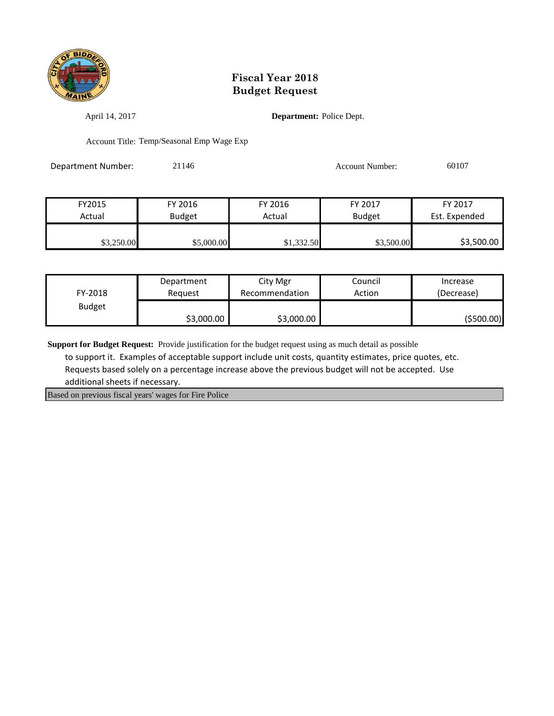

April 14, 2017 **Department:** Police Dept.

Account Title: Temp/Seasonal Emp Wage Exp

Department Number: 21146 21146 Account Number: 60107

FY2015 FY 2016 FY 2016 FY 2017 FY 2017 Actual | Budget | Actual | Budget Est. Expended \$3,250.00 \$5,000.00 \$1,332.50 \$3,500.00 \$3,500.00

| FY-2018       | Department | City Mgr       | Council | Increase    |
|---------------|------------|----------------|---------|-------------|
|               | Reauest    | Recommendation | Action  | (Decrease)  |
| <b>Budget</b> | \$3,000.00 | \$3,000.00     |         | ( \$500.00] |

**Support for Budget Request:** Provide justification for the budget request using as much detail as possible

 to support it. Examples of acceptable support include unit costs, quantity estimates, price quotes, etc. Requests based solely on a percentage increase above the previous budget will not be accepted. Use additional sheets if necessary.

Based on previous fiscal years' wages for Fire Police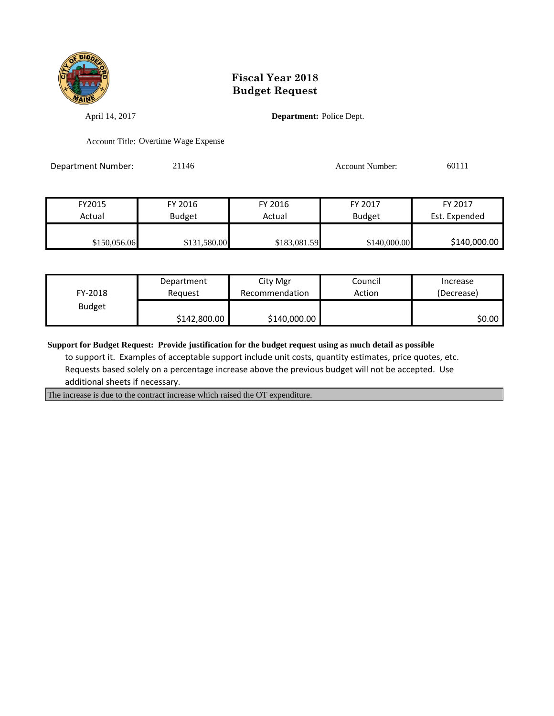

April 14, 2017 **Department:** Police Dept.

Account Title: Overtime Wage Expense

Department Number: 21146 21146 Account Number: 60111

| FY2015       | FY 2016       | FY 2016      | FY 2017       | FY 2017       |
|--------------|---------------|--------------|---------------|---------------|
| Actual       | <b>Budget</b> | Actual       | <b>Budget</b> | Est. Expended |
|              |               |              |               |               |
| \$150,056.06 | \$131,580.00  | \$183,081.59 | \$140,000.00  | \$140,000.00  |

| FY-2018       | Department   | City Mgr       | Council | Increase   |
|---------------|--------------|----------------|---------|------------|
|               | Reguest      | Recommendation | Action  | (Decrease) |
| <b>Budget</b> | \$142,800.00 | \$140,000.00   |         | SO.OO I    |

**Support for Budget Request: Provide justification for the budget request using as much detail as possible**

 to support it. Examples of acceptable support include unit costs, quantity estimates, price quotes, etc. Requests based solely on a percentage increase above the previous budget will not be accepted. Use additional sheets if necessary.

The increase is due to the contract increase which raised the OT expenditure.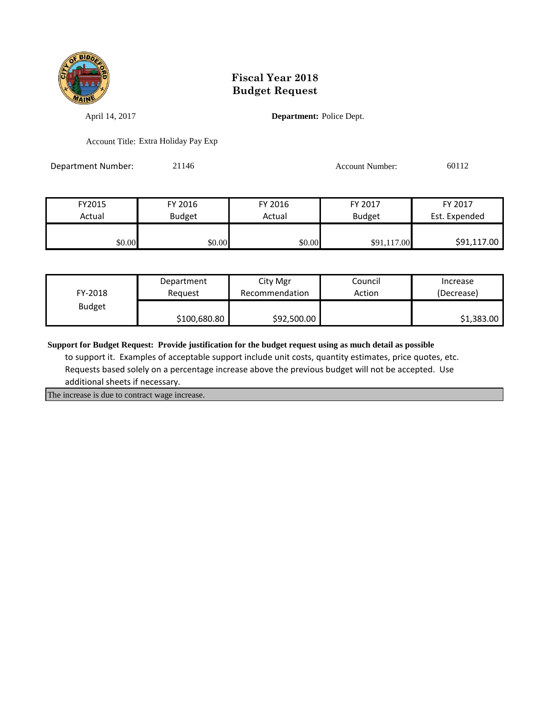

April 14, 2017 **Department:** Police Dept.

Account Title: Extra Holiday Pay Exp

Department Number: 21146 21146 Account Number: 60112

FY2015 FY 2016 FY 2016 FY 2017 FY 2017 Actual Budget Actual Budget Est. Expended \$0.00 \$0.00 \$0.00 \$91,117.00 \$91,117.00

| FY-2018       | Department   | City Mgr       | Council | Increase   |
|---------------|--------------|----------------|---------|------------|
|               | Reauest      | Recommendation | Action  | (Decrease) |
| <b>Budget</b> | \$100,680.80 | \$92,500.00    |         | \$1,383.00 |

**Support for Budget Request: Provide justification for the budget request using as much detail as possible**

 to support it. Examples of acceptable support include unit costs, quantity estimates, price quotes, etc. Requests based solely on a percentage increase above the previous budget will not be accepted. Use additional sheets if necessary.

The increase is due to contract wage increase.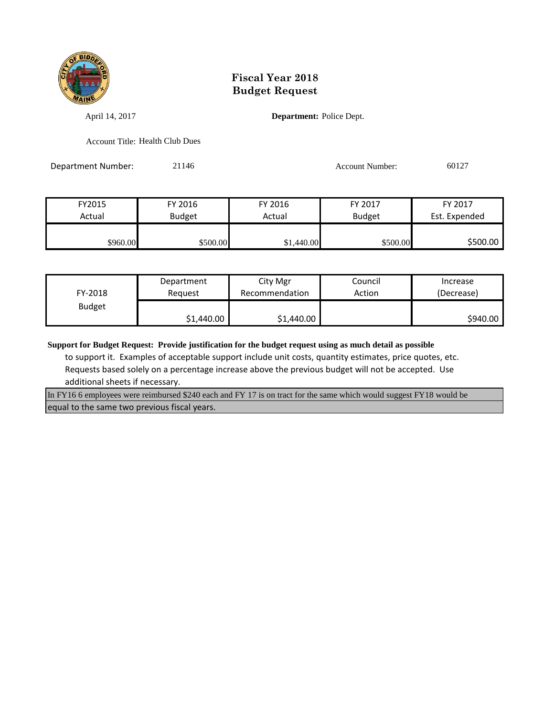

April 14, 2017 **Department:** Police Dept.

Account Title: Health Club Dues

Department Number: 21146 21146 Account Number: 60127

FY2015 FY 2016 FY 2016 FY 2017 FY 2017 Actual | Budget | Actual | Budget Est. Expended \$960.00 \$500.00 \$500.00 \$1,440.00 \$1,440.00 \$500.00 \$500.00

| FY-2018       | Department | City Mgr       | Council | Increase   |
|---------------|------------|----------------|---------|------------|
|               | Reauest    | Recommendation | Action  | (Decrease) |
| <b>Budget</b> | \$1,440.00 | \$1,440.00     |         | \$940.00   |

**Support for Budget Request: Provide justification for the budget request using as much detail as possible**

 to support it. Examples of acceptable support include unit costs, quantity estimates, price quotes, etc. Requests based solely on a percentage increase above the previous budget will not be accepted. Use additional sheets if necessary.

In FY16 6 employees were reimbursed \$240 each and FY 17 is on tract for the same which would suggest FY18 would be equal to the same two previous fiscal years.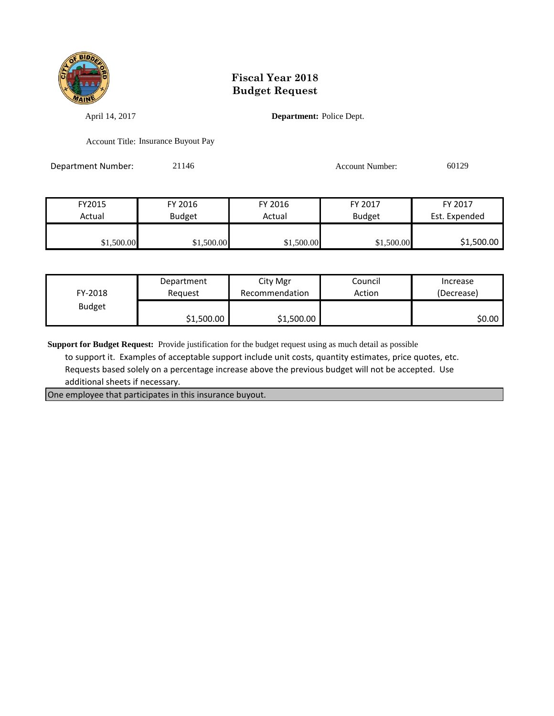

April 14, 2017 **Department:** Police Dept.

Account Title: Insurance Buyout Pay

Department Number: 21146 21146 Account Number: 60129

FY2015 FY 2016 FY 2016 FY 2017 FY 2017 Actual | Budget | Actual | Budget Est. Expended \$1,500.00 \$1,500.00 \$1,500.00 \$1,500.00 \$1,500.00 \$1,500.00

| FY-2018       | Department | City Mgr       | Council | Increase   |
|---------------|------------|----------------|---------|------------|
|               | Reauest    | Recommendation | Action  | (Decrease) |
| <b>Budget</b> | \$1,500.00 | \$1,500.00     |         | \$0.00     |

**Support for Budget Request:** Provide justification for the budget request using as much detail as possible

 to support it. Examples of acceptable support include unit costs, quantity estimates, price quotes, etc. Requests based solely on a percentage increase above the previous budget will not be accepted. Use additional sheets if necessary.

One employee that participates in this insurance buyout.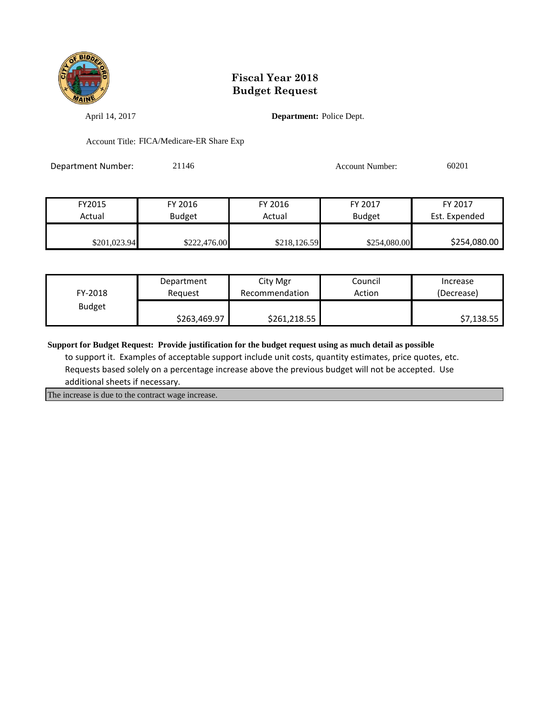

April 14, 2017 **Department:** Police Dept.

Account Title: FICA/Medicare-ER Share Exp

Department Number: 21146 21146 Account Number: 60201

| FY2015       | FY 2016       | FY 2016      | FY 2017       | FY 2017       |
|--------------|---------------|--------------|---------------|---------------|
| Actual       | <b>Budget</b> | Actual       | <b>Budget</b> | Est. Expended |
|              |               |              |               |               |
| \$201,023.94 | \$222,476.00  | \$218,126.59 | \$254,080.00  | \$254,080.00  |

| FY-2018       | Department   | City Mgr       | Council | Increase   |
|---------------|--------------|----------------|---------|------------|
|               | Reguest      | Recommendation | Action  | (Decrease) |
| <b>Budget</b> | \$263,469.97 | \$261,218.55   |         | \$7,138.55 |

**Support for Budget Request: Provide justification for the budget request using as much detail as possible**

 to support it. Examples of acceptable support include unit costs, quantity estimates, price quotes, etc. Requests based solely on a percentage increase above the previous budget will not be accepted. Use additional sheets if necessary.

The increase is due to the contract wage increase.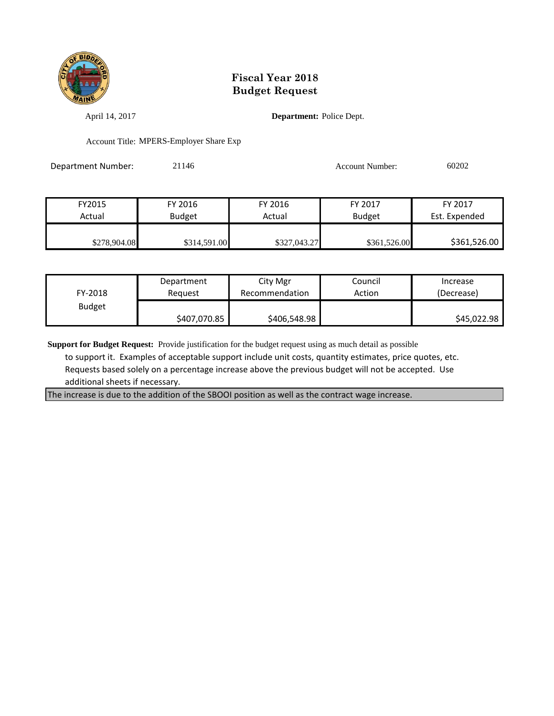

April 14, 2017 **Department:** Police Dept.

Account Title: MPERS-Employer Share Exp

Department Number: 21146 21146 Account Number: 60202

| FY2015       | FY 2016       | FY 2016      | FY 2017       | FY 2017       |
|--------------|---------------|--------------|---------------|---------------|
| Actual       | <b>Budget</b> | Actual       | <b>Budget</b> | Est. Expended |
|              |               |              |               |               |
| \$278,904.08 | \$314,591.00  | \$327,043.27 | \$361,526.00  | \$361,526.00  |

| FY-2018       | Department   | City Mgr       | Council | Increase    |
|---------------|--------------|----------------|---------|-------------|
|               | Reguest      | Recommendation | Action  | (Decrease)  |
| <b>Budget</b> | \$407,070.85 | \$406,548.98   |         | \$45,022.98 |

**Support for Budget Request:** Provide justification for the budget request using as much detail as possible

 to support it. Examples of acceptable support include unit costs, quantity estimates, price quotes, etc. Requests based solely on a percentage increase above the previous budget will not be accepted. Use additional sheets if necessary.

The increase is due to the addition of the SBOOI position as well as the contract wage increase.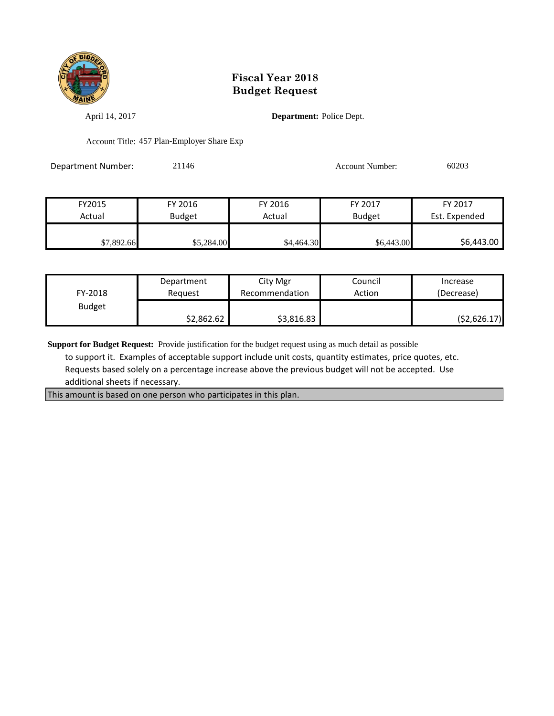

April 14, 2017 **Department:** Police Dept.

Account Title: 457 Plan-Employer Share Exp

Department Number: 21146 21146 Account Number: 60203

| FY2015     | FY 2016    | FY 2016    | FY 2017       | FY 2017       |
|------------|------------|------------|---------------|---------------|
| Actual     | Budget     | Actual     | <b>Budget</b> | Est. Expended |
|            |            |            |               |               |
| \$7,892.66 | \$5,284.00 | \$4,464.30 | \$6,443.00    | \$6,443.00    |

| FY-2018       | Department | City Mgr       | Council | Increase    |
|---------------|------------|----------------|---------|-------------|
|               | Reauest    | Recommendation | Action  | (Decrease)  |
| <b>Budget</b> | \$2,862.62 | \$3,816.83     |         | (52,626.17) |

**Support for Budget Request:** Provide justification for the budget request using as much detail as possible

 to support it. Examples of acceptable support include unit costs, quantity estimates, price quotes, etc. Requests based solely on a percentage increase above the previous budget will not be accepted. Use additional sheets if necessary.

This amount is based on one person who participates in this plan.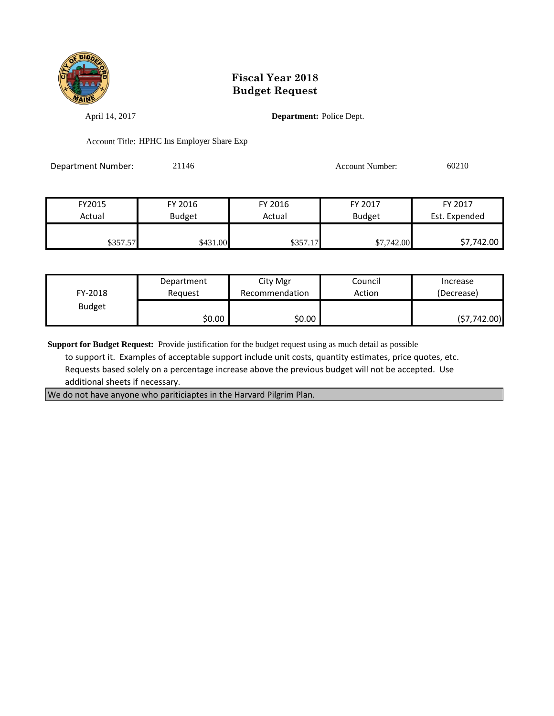

April 14, 2017 **Department:** Police Dept.

Account Title: HPHC Ins Employer Share Exp

Department Number: 21146 21146 Account Number: 60210

| FY2015   | FY 2016       | FY 2016  | FY 2017       | FY 2017       |
|----------|---------------|----------|---------------|---------------|
| Actual   | <b>Budget</b> | Actual   | <b>Budget</b> | Est. Expended |
|          |               |          |               |               |
| \$357.57 | \$431.00      | \$357.17 | \$7,742.00    | \$7,742.00    |

| FY-2018       | Department | City Mgr       | Council | Increase     |
|---------------|------------|----------------|---------|--------------|
|               | Reauest    | Recommendation | Action  | (Decrease)   |
| <b>Budget</b> | \$0.00     | \$0.00         |         | (57, 742.00) |

**Support for Budget Request:** Provide justification for the budget request using as much detail as possible

 to support it. Examples of acceptable support include unit costs, quantity estimates, price quotes, etc. Requests based solely on a percentage increase above the previous budget will not be accepted. Use additional sheets if necessary.

We do not have anyone who pariticiaptes in the Harvard Pilgrim Plan.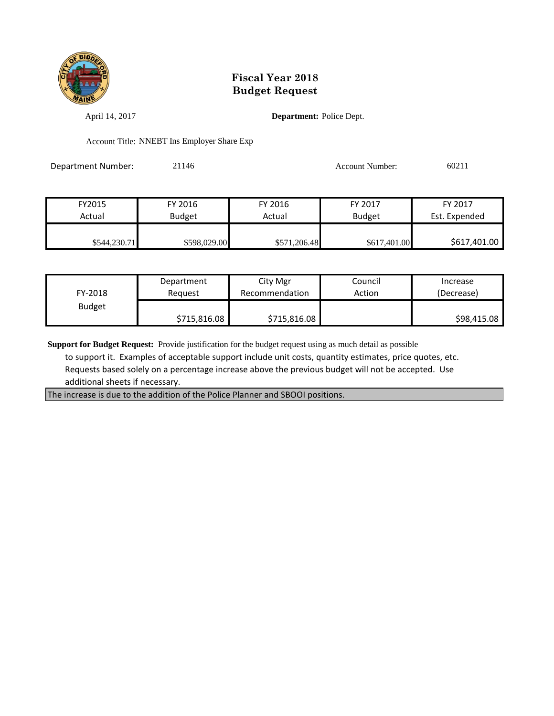

April 14, 2017 **Department:** Police Dept.

Account Title: NNEBT Ins Employer Share Exp

Department Number: 21146 21146 Account Number: 60211

| FY2015       | FY 2016       | FY 2016      | FY 2017       | FY 2017       |
|--------------|---------------|--------------|---------------|---------------|
| Actual       | <b>Budget</b> | Actual       | <b>Budget</b> | Est. Expended |
|              |               |              |               |               |
| \$544,230.71 | \$598,029.00  | \$571,206.48 | \$617,401.00  | \$617,401.00  |

| FY-2018       | Department   | City Mgr       | Council | Increase    |
|---------------|--------------|----------------|---------|-------------|
|               | Reauest      | Recommendation | Action  | (Decrease)  |
| <b>Budget</b> | \$715,816.08 | \$715,816.08   |         | \$98,415.08 |

**Support for Budget Request:** Provide justification for the budget request using as much detail as possible

 to support it. Examples of acceptable support include unit costs, quantity estimates, price quotes, etc. Requests based solely on a percentage increase above the previous budget will not be accepted. Use additional sheets if necessary.

The increase is due to the addition of the Police Planner and SBOOI positions.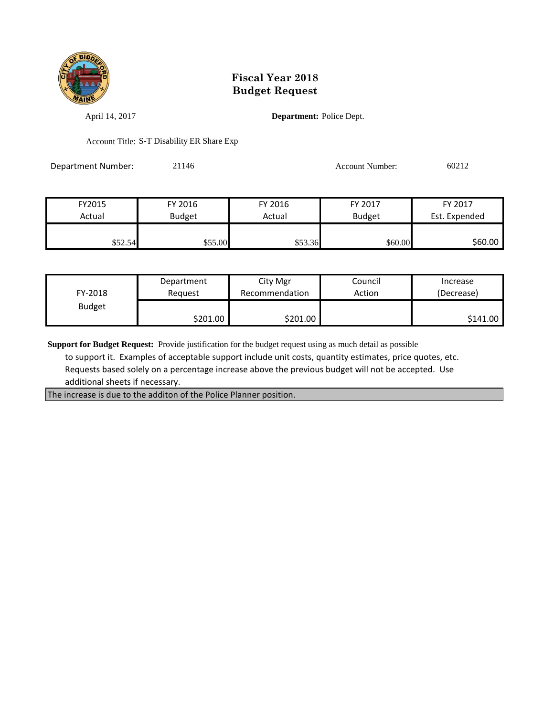

April 14, 2017 **Department:** Police Dept.

Account Title: S-T Disability ER Share Exp

Department Number: 21146 21146 Account Number: 60212

| FY2015  | FY 2016       | FY 2016 | FY 2017       | FY 2017       |
|---------|---------------|---------|---------------|---------------|
| Actual  | <b>Budget</b> | Actual  | <b>Budget</b> | Est. Expended |
|         |               |         |               |               |
| \$52.54 | \$55.00       | \$53.36 | \$60.00       | \$60.00       |

| FY-2018       | Department | City Mgr       | Council | Increase   |
|---------------|------------|----------------|---------|------------|
|               | Reauest    | Recommendation | Action  | (Decrease) |
| <b>Budget</b> | \$201.00∣  | \$201.00       |         | \$141.00   |

**Support for Budget Request:** Provide justification for the budget request using as much detail as possible

 to support it. Examples of acceptable support include unit costs, quantity estimates, price quotes, etc. Requests based solely on a percentage increase above the previous budget will not be accepted. Use additional sheets if necessary.

The increase is due to the additon of the Police Planner position.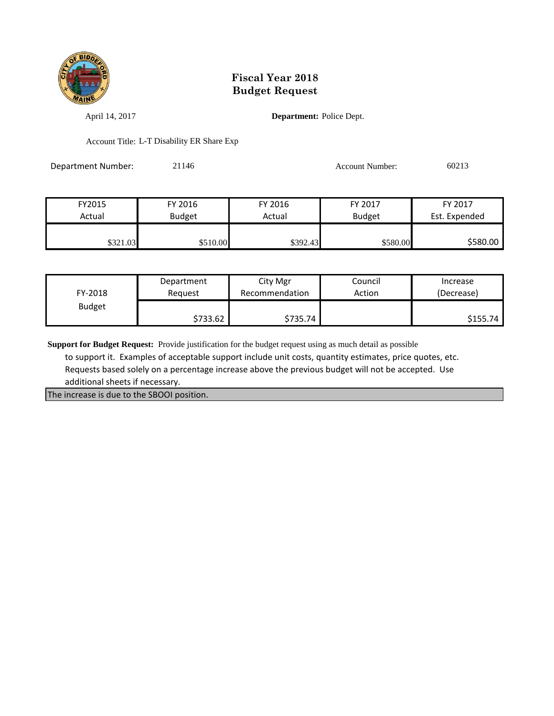

April 14, 2017 **Department:** Police Dept.

Account Title: L-T Disability ER Share Exp

Department Number: 21146 21146 Account Number: 60213

| FY2015   | FY 2016       | FY 2016  | FY 2017       | FY 2017       |
|----------|---------------|----------|---------------|---------------|
| Actual   | <b>Budget</b> | Actual   | <b>Budget</b> | Est. Expended |
|          |               |          |               |               |
| \$321.03 | \$510.00      | \$392.43 | \$580.00      | \$580.00      |

| FY-2018       | Department | City Mgr       | Council | Increase   |
|---------------|------------|----------------|---------|------------|
|               | Reauest    | Recommendation | Action  | (Decrease) |
| <b>Budget</b> | \$733.62   | \$735.74       |         | \$155.74   |

**Support for Budget Request:** Provide justification for the budget request using as much detail as possible

 to support it. Examples of acceptable support include unit costs, quantity estimates, price quotes, etc. Requests based solely on a percentage increase above the previous budget will not be accepted. Use additional sheets if necessary.

The increase is due to the SBOOI position.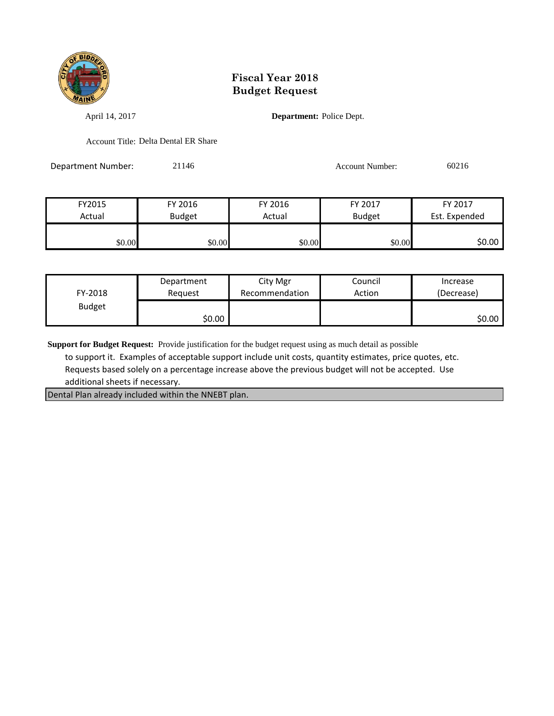

April 14, 2017 **Department:** Police Dept.

Account Title: Delta Dental ER Share

Department Number: 21146 21146 Account Number: 60216

| FY2015 | FY 2016       | FY 2016 | FY 2017       | FY 2017       |
|--------|---------------|---------|---------------|---------------|
| Actual | <b>Budget</b> | Actual  | <b>Budget</b> | Est. Expended |
|        |               |         |               |               |
| \$0.00 | \$0.00        | \$0.00  | \$0.00        | \$0.00        |

| FY-2018       | Department | City Mgr       | Council | Increase   |
|---------------|------------|----------------|---------|------------|
|               | Reauest    | Recommendation | Action  | (Decrease) |
| <b>Budget</b> | \$0.00∣    |                |         | \$0.00∣    |

**Support for Budget Request:** Provide justification for the budget request using as much detail as possible

 to support it. Examples of acceptable support include unit costs, quantity estimates, price quotes, etc. Requests based solely on a percentage increase above the previous budget will not be accepted. Use additional sheets if necessary.

Dental Plan already included within the NNEBT plan.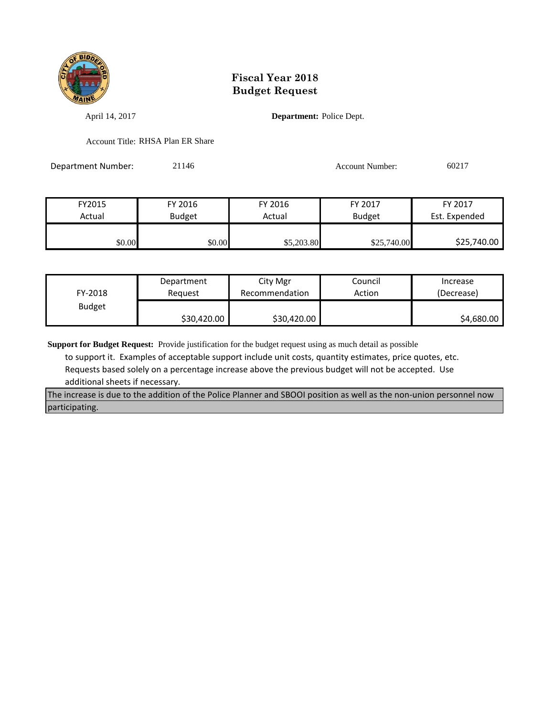

April 14, 2017 **Department:** Police Dept.

Account Title: RHSA Plan ER Share

Department Number: 21146 21146 Account Number: 60217

| FY2015 | FY 2016       | FY 2016    | FY 2017       | FY 2017       |
|--------|---------------|------------|---------------|---------------|
| Actual | <b>Budget</b> | Actual     | <b>Budget</b> | Est. Expended |
|        |               |            |               |               |
| \$0.00 | \$0.00        | \$5,203.80 | \$25,740.00   | \$25,740.00   |

| FY-2018       | Department  | City Mgr       | Council | Increase   |
|---------------|-------------|----------------|---------|------------|
|               | Reguest     | Recommendation | Action  | (Decrease) |
| <b>Budget</b> | \$30,420.00 | \$30,420.00    |         | \$4,680.00 |

**Support for Budget Request:** Provide justification for the budget request using as much detail as possible

 to support it. Examples of acceptable support include unit costs, quantity estimates, price quotes, etc. Requests based solely on a percentage increase above the previous budget will not be accepted. Use additional sheets if necessary.

The increase is due to the addition of the Police Planner and SBOOI position as well as the non-union personnel now participating.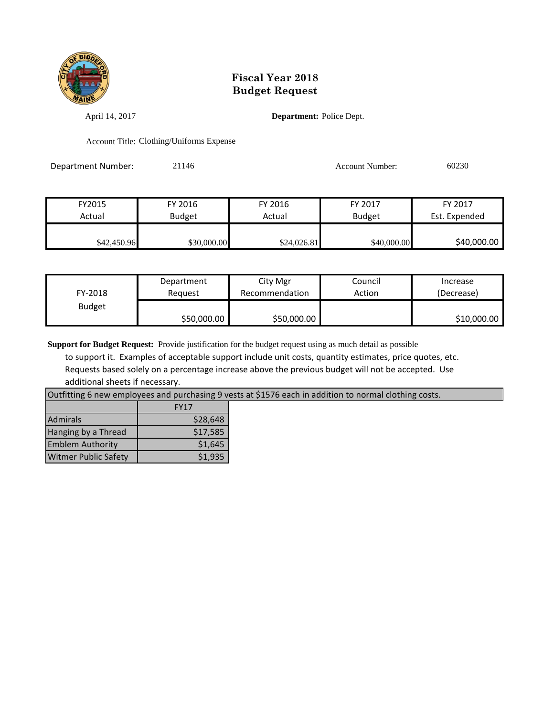

April 14, 2017 **Department:** Police Dept.

Account Title: Clothing/Uniforms Expense

Department Number: 21146 21146 Account Number: 60230

| FY2015      | FY 2016       | FY 2016     | FY 2017       | FY 2017       |
|-------------|---------------|-------------|---------------|---------------|
| Actual      | <b>Budget</b> | Actual      | <b>Budget</b> | Est. Expended |
| \$42,450.96 | \$30,000.00   | \$24,026.81 | \$40,000.00   | \$40,000.00   |

| FY-2018       | Department  | City Mgr       | Council | Increase    |
|---------------|-------------|----------------|---------|-------------|
|               | Reguest     | Recommendation | Action  | (Decrease)  |
| <b>Budget</b> | \$50,000.00 | \$50,000.00    |         | \$10,000.00 |

**Support for Budget Request:** Provide justification for the budget request using as much detail as possible

 to support it. Examples of acceptable support include unit costs, quantity estimates, price quotes, etc. Requests based solely on a percentage increase above the previous budget will not be accepted. Use additional sheets if necessary.

Outfitting 6 new employees and purchasing 9 vests at \$1576 each in addition to normal clothing costs.

|                             | <b>FY17</b> |
|-----------------------------|-------------|
| <b>Admirals</b>             | \$28,648    |
| Hanging by a Thread         | \$17,585    |
| <b>Emblem Authority</b>     | \$1,645     |
| <b>Witmer Public Safety</b> | \$1,935     |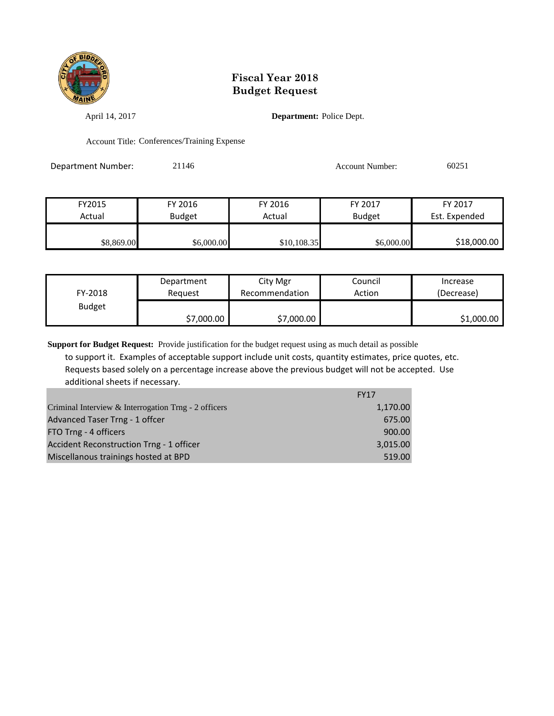

April 14, 2017 **Department:** Police Dept.

Account Title: Conferences/Training Expense

Department Number: 21146 21146 Account Number: 60251

FY2015 FY 2016 FY 2016 FY 2017 FY 2017 Actual Budget Actual Budget Est. Expended \$8,869.00 \$6,000.00 \$10,108.35 \$6,000.00 \$18,000.00

| FY-2018       | Department | City Mgr       | Council | Increase   |
|---------------|------------|----------------|---------|------------|
|               | Reauest    | Recommendation | Action  | (Decrease) |
| <b>Budget</b> | \$7,000.00 | \$7,000.00     |         | \$1,000.00 |

**Support for Budget Request:** Provide justification for the budget request using as much detail as possible to support it. Examples of acceptable support include unit costs, quantity estimates, price quotes, etc. Requests based solely on a percentage increase above the previous budget will not be accepted. Use additional sheets if necessary.

|                                                      | <b>FY17</b> |
|------------------------------------------------------|-------------|
| Criminal Interview & Interrogation Trng - 2 officers | 1,170.00    |
| Advanced Taser Trng - 1 offcer                       | 675.00      |
| FTO Trng - 4 officers                                | 900.00      |
| Accident Reconstruction Trng - 1 officer             | 3,015.00    |
| Miscellanous trainings hosted at BPD                 | 519.00      |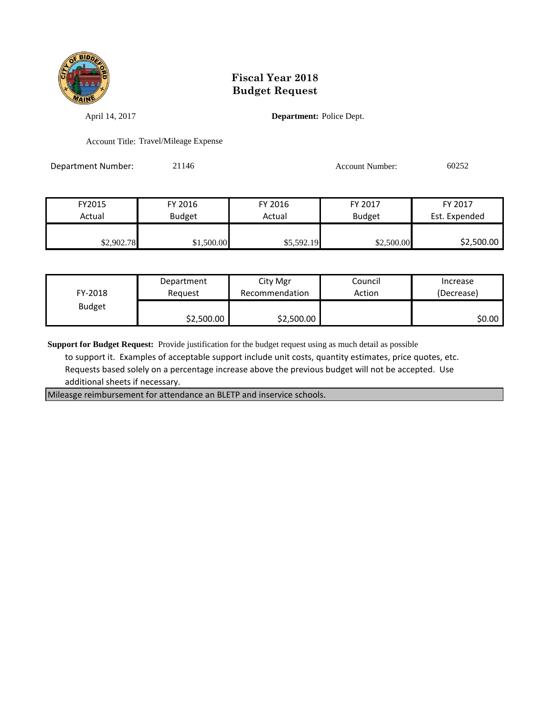

April 14, 2017 **Department:** Police Dept.

Account Title: Travel/Mileage Expense

Department Number: 21146 21146 Account Number: 60252

| FY2015     | FY 2016       | FY 2016    | FY 2017       | FY 2017       |
|------------|---------------|------------|---------------|---------------|
| Actual     | <b>Budget</b> | Actual     | <b>Budget</b> | Est. Expended |
|            |               |            |               |               |
| \$2,902.78 | \$1,500.00    | \$5,592.19 | \$2,500.00    | \$2,500.00    |

| FY-2018       | Department | City Mgr       | Council | Increase   |
|---------------|------------|----------------|---------|------------|
|               | Reauest    | Recommendation | Action  | (Decrease) |
| <b>Budget</b> | \$2,500.00 | \$2,500.00     |         | \$0.00     |

**Support for Budget Request:** Provide justification for the budget request using as much detail as possible

 to support it. Examples of acceptable support include unit costs, quantity estimates, price quotes, etc. Requests based solely on a percentage increase above the previous budget will not be accepted. Use additional sheets if necessary.

Mileasge reimbursement for attendance an BLETP and inservice schools.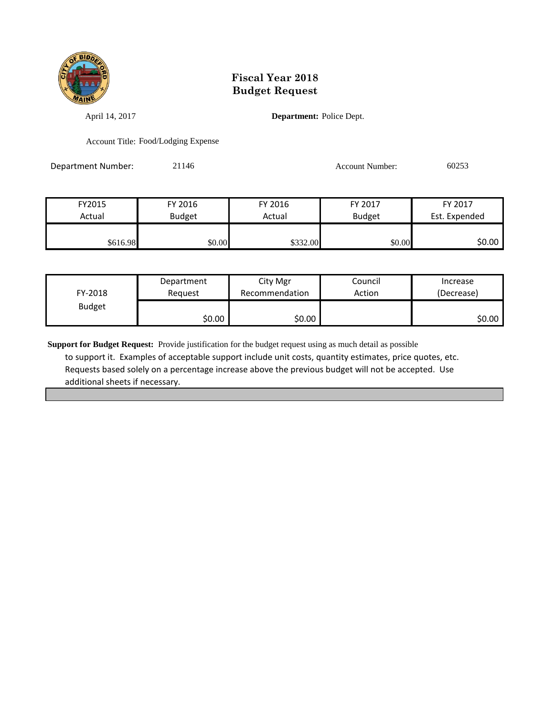

April 14, 2017 **Department:** Police Dept.

Account Title: Food/Lodging Expense

Department Number: 21146 21146 Account Number: 60253

| FY2015   | FY 2016       | FY 2016  | FY 2017       | FY 2017       |
|----------|---------------|----------|---------------|---------------|
| Actual   | <b>Budget</b> | Actual   | <b>Budget</b> | Est. Expended |
|          |               |          |               |               |
| \$616.98 | \$0.00        | \$332.00 | \$0.00        | \$0.00 l      |

| FY-2018       | Department | City Mgr       | Council | Increase   |
|---------------|------------|----------------|---------|------------|
|               | Reguest    | Recommendation | Action  | (Decrease) |
| <b>Budget</b> | \$0.00     | \$0.00         |         | SO.OO      |

**Support for Budget Request:** Provide justification for the budget request using as much detail as possible to support it. Examples of acceptable support include unit costs, quantity estimates, price quotes, etc. Requests based solely on a percentage increase above the previous budget will not be accepted. Use additional sheets if necessary.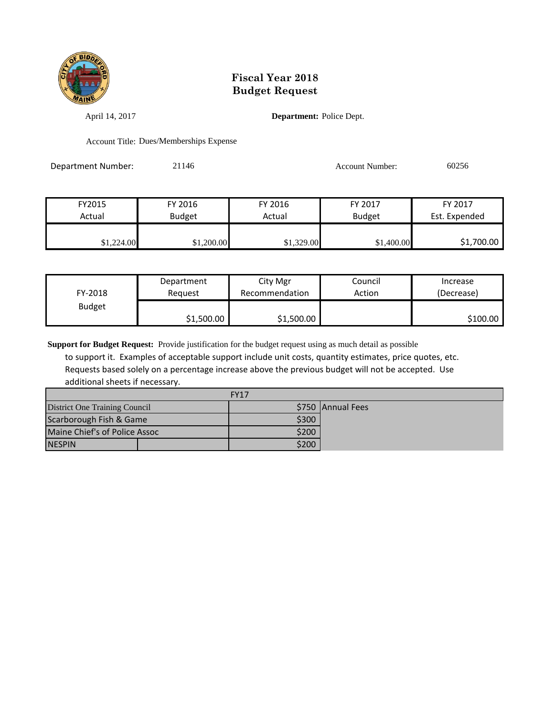

April 14, 2017 **Department:** Police Dept.

Account Title: Dues/Memberships Expense

Department Number: 21146 21146 Account Number: 60256

| FY2015     | FY 2016       | FY 2016    | FY 2017       | FY 2017       |
|------------|---------------|------------|---------------|---------------|
| Actual     | <b>Budget</b> | Actual     | <b>Budget</b> | Est. Expended |
|            |               |            |               |               |
| \$1,224.00 | \$1,200.00    | \$1,329.00 | \$1,400.00    | \$1,700.00    |

| FY-2018       | Department | City Mgr       | Council | Increase   |
|---------------|------------|----------------|---------|------------|
|               | Reguest    | Recommendation | Action  | (Decrease) |
| <b>Budget</b> | \$1,500.00 | \$1,500.00     |         | \$100.00   |

**Support for Budget Request:** Provide justification for the budget request using as much detail as possible

 to support it. Examples of acceptable support include unit costs, quantity estimates, price quotes, etc. Requests based solely on a percentage increase above the previous budget will not be accepted. Use additional sheets if necessary.

| <b>FY17</b>                   |  |       |                   |
|-------------------------------|--|-------|-------------------|
| District One Training Council |  |       | \$750 Annual Fees |
| Scarborough Fish & Game       |  | \$300 |                   |
| Maine Chief's of Police Assoc |  | \$200 |                   |
| <b>INESPIN</b>                |  | \$200 |                   |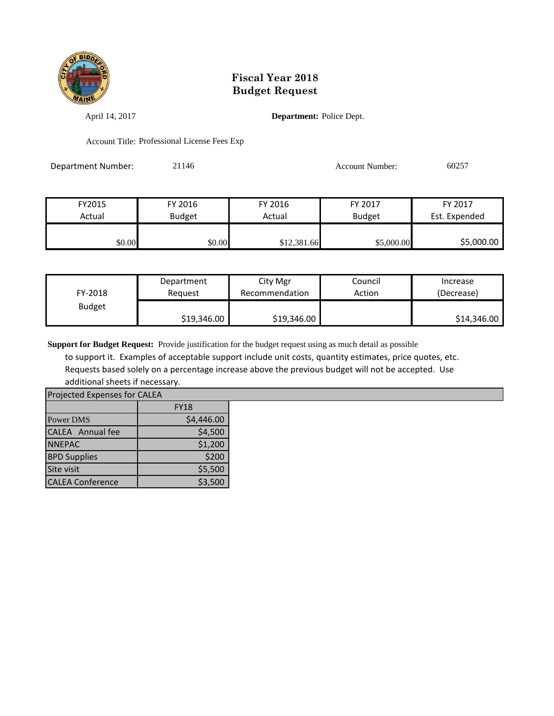

April 14, 2017 **Department:** Police Dept.

Account Title: Professional License Fees Exp

Department Number: 21146 21146 Account Number: 60257

| FY2015 | FY 2016       | FY 2016     | FY 2017       | FY 2017       |
|--------|---------------|-------------|---------------|---------------|
| Actual | <b>Budget</b> | Actual      | <b>Budget</b> | Est. Expended |
| \$0.00 | \$0.00        | \$12,381.66 | \$5,000.00    | \$5,000.00    |

| FY-2018       | Department  | City Mgr       | Council | Increase    |
|---------------|-------------|----------------|---------|-------------|
|               | Reauest     | Recommendation | Action  | (Decrease)  |
| <b>Budget</b> | \$19,346.00 | \$19,346.00    |         | \$14,346.00 |

**Support for Budget Request:** Provide justification for the budget request using as much detail as possible

 to support it. Examples of acceptable support include unit costs, quantity estimates, price quotes, etc. Requests based solely on a percentage increase above the previous budget will not be accepted. Use additional sheets if necessary.

|                         | Projected Expenses for CALEA |  |  |  |  |  |
|-------------------------|------------------------------|--|--|--|--|--|
|                         | <b>FY18</b>                  |  |  |  |  |  |
| Power DMS               | \$4,446.00                   |  |  |  |  |  |
| <b>CALEA</b> Annual fee | \$4,500                      |  |  |  |  |  |
| <b>NNEPAC</b>           | \$1,200                      |  |  |  |  |  |
| <b>BPD Supplies</b>     | \$200                        |  |  |  |  |  |
| Site visit              | \$5,500                      |  |  |  |  |  |

CALEA Conference  $\sim$  \$3,500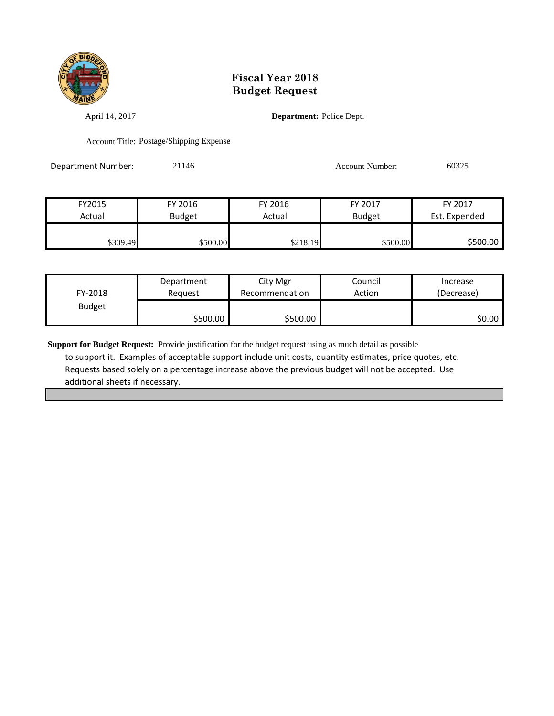

April 14, 2017 **Department:** Police Dept.

Account Title: Postage/Shipping Expense

Department Number: 21146 21146 Account Number: 60325

| FY2015   | FY 2016       | FY 2016  | FY 2017       | FY 2017       |
|----------|---------------|----------|---------------|---------------|
| Actual   | <b>Budget</b> | Actual   | <b>Budget</b> | Est. Expended |
|          |               |          |               |               |
| \$309.49 | \$500.00      | \$218.19 | \$500.00      | \$500.00      |

| FY-2018       | Department | City Mgr       | Council | Increase   |
|---------------|------------|----------------|---------|------------|
|               | Reauest    | Recommendation | Action  | (Decrease) |
| <b>Budget</b> | \$500.00   | \$500.00       |         | \$0.00     |

**Support for Budget Request:** Provide justification for the budget request using as much detail as possible to support it. Examples of acceptable support include unit costs, quantity estimates, price quotes, etc. Requests based solely on a percentage increase above the previous budget will not be accepted. Use additional sheets if necessary.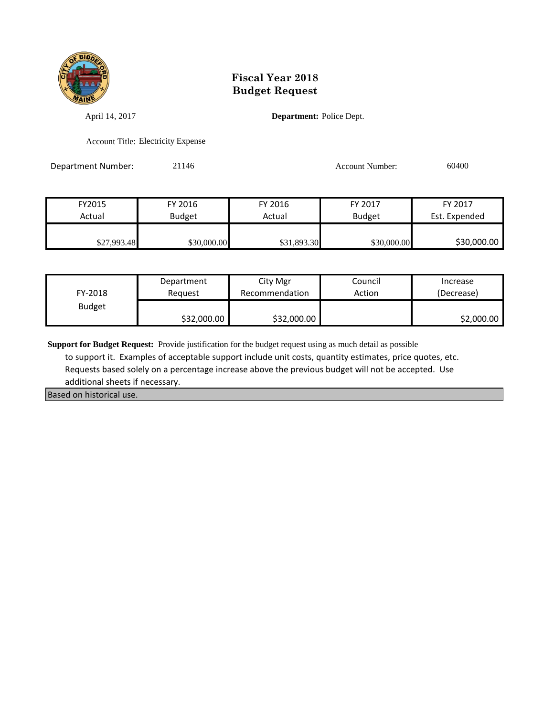

April 14, 2017 **Department:** Police Dept.

Account Title: Electricity Expense

Department Number: 21146 21146 Account Number: 60400

| FY2015      | FY 2016       | FY 2016     | FY 2017       | FY 2017       |
|-------------|---------------|-------------|---------------|---------------|
| Actual      | <b>Budget</b> | Actual      | <b>Budget</b> | Est. Expended |
|             |               |             |               |               |
| \$27,993.48 | \$30,000.00   | \$31,893.30 | \$30,000.00   | \$30,000.00   |

| FY-2018       | Department  | City Mgr       | Council | Increase   |
|---------------|-------------|----------------|---------|------------|
|               | Reguest     | Recommendation | Action  | (Decrease) |
| <b>Budget</b> | \$32,000.00 | \$32,000.00    |         | \$2,000.00 |

**Support for Budget Request:** Provide justification for the budget request using as much detail as possible

 to support it. Examples of acceptable support include unit costs, quantity estimates, price quotes, etc. Requests based solely on a percentage increase above the previous budget will not be accepted. Use additional sheets if necessary.

Based on historical use.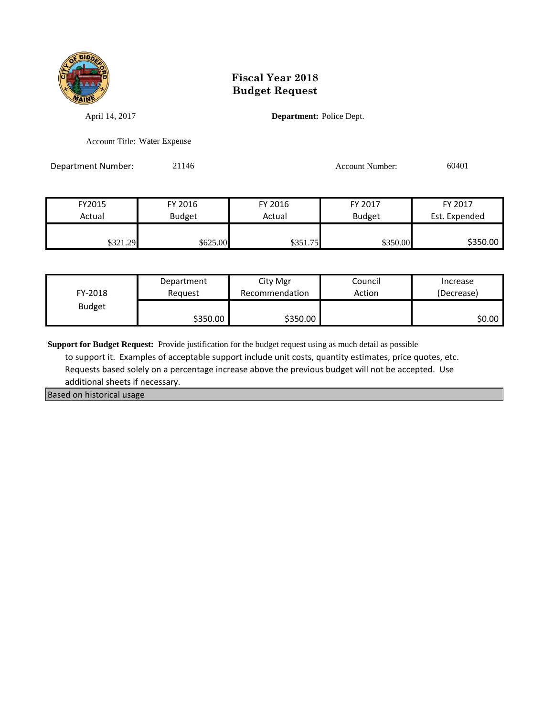

April 14, 2017 **Department:** Police Dept.

Account Title: Water Expense

Department Number: 21146 21146 Account Number: 60401

| FY2015   | FY 2016       | FY 2016  | FY 2017       | FY 2017       |
|----------|---------------|----------|---------------|---------------|
| Actual   | <b>Budget</b> | Actual   | <b>Budget</b> | Est. Expended |
|          |               |          |               |               |
| \$321.29 | \$625.00      | \$351.75 | \$350.00      | \$350.00      |

| FY-2018       | Department | City Mgr       | Council | Increase   |
|---------------|------------|----------------|---------|------------|
|               | Reauest    | Recommendation | Action  | (Decrease) |
| <b>Budget</b> | \$350.00   | \$350.00       |         | 50.00 l    |

**Support for Budget Request:** Provide justification for the budget request using as much detail as possible

 to support it. Examples of acceptable support include unit costs, quantity estimates, price quotes, etc. Requests based solely on a percentage increase above the previous budget will not be accepted. Use additional sheets if necessary.

Based on historical usage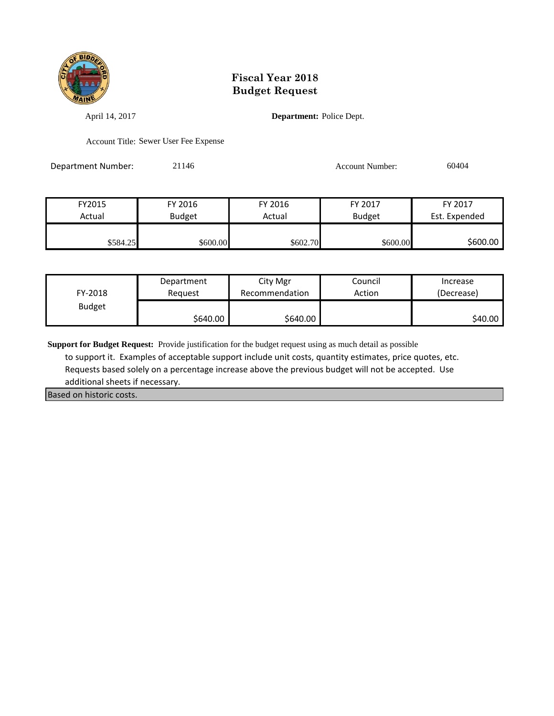

April 14, 2017 **Department:** Police Dept.

Account Title: Sewer User Fee Expense

Department Number: 21146 21146 Account Number: 60404

| FY2015   | FY 2016       | FY 2016   | FY 2017       | FY 2017       |
|----------|---------------|-----------|---------------|---------------|
| Actual   | <b>Budget</b> | Actual    | <b>Budget</b> | Est. Expended |
|          |               |           |               |               |
| \$584.25 | \$600.00      | \$602.70I | \$600.00      | \$600.00      |

| FY-2018       | Department | City Mgr       | Council | Increase   |
|---------------|------------|----------------|---------|------------|
|               | Reauest    | Recommendation | Action  | (Decrease) |
| <b>Budget</b> | \$640.00   | \$640.00       |         | \$40.00    |

**Support for Budget Request:** Provide justification for the budget request using as much detail as possible

 to support it. Examples of acceptable support include unit costs, quantity estimates, price quotes, etc. Requests based solely on a percentage increase above the previous budget will not be accepted. Use additional sheets if necessary.

Based on historic costs.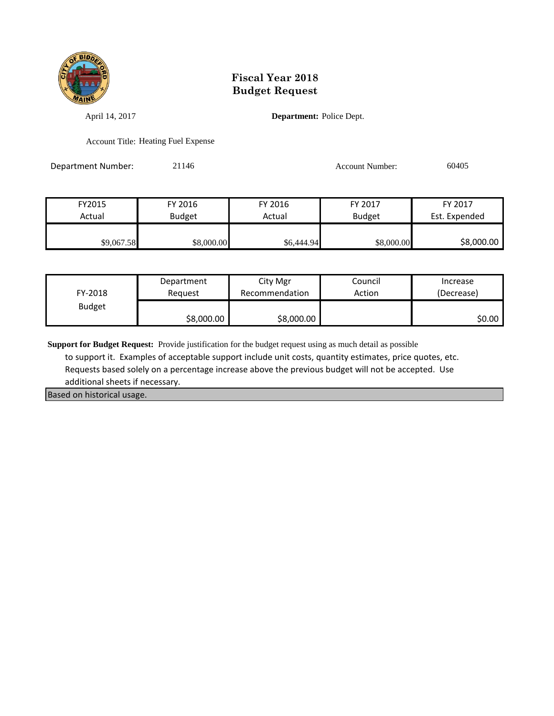

April 14, 2017 **Department:** Police Dept.

Account Title: Heating Fuel Expense

Department Number: 21146 21146 Account Number: 60405

| FY2015     | FY 2016       | FY 2016    | FY 2017       | FY 2017       |
|------------|---------------|------------|---------------|---------------|
| Actual     | <b>Budget</b> | Actual     | <b>Budget</b> | Est. Expended |
|            |               |            |               |               |
| \$9,067.58 | \$8,000.00    | \$6,444.94 | \$8,000.00    | \$8,000.00    |

| FY-2018       | Department | City Mgr       | Council | Increase   |
|---------------|------------|----------------|---------|------------|
|               | Reguest    | Recommendation | Action  | (Decrease) |
| <b>Budget</b> | \$8,000.00 | \$8,000.00     |         | SO.OO      |

**Support for Budget Request:** Provide justification for the budget request using as much detail as possible

 to support it. Examples of acceptable support include unit costs, quantity estimates, price quotes, etc. Requests based solely on a percentage increase above the previous budget will not be accepted. Use additional sheets if necessary.

Based on historical usage.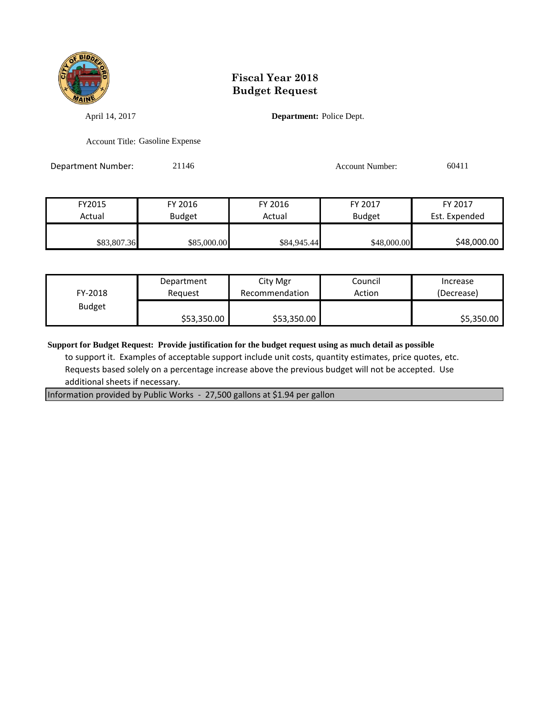

April 14, 2017 **Department:** Police Dept.

Account Title: Gasoline Expense

Department Number: 21146 21146 Account Number: 60411

| FY2015      | FY 2016       | FY 2016     | FY 2017       | FY 2017       |
|-------------|---------------|-------------|---------------|---------------|
| Actual      | <b>Budget</b> | Actual      | <b>Budget</b> | Est. Expended |
|             |               |             |               |               |
| \$83,807.36 | \$85,000.00   | \$84,945.44 | \$48,000.00   | \$48,000.00   |

| FY-2018       | Department  | City Mgr       | Council | Increase   |
|---------------|-------------|----------------|---------|------------|
|               | Reguest     | Recommendation | Action  | (Decrease) |
| <b>Budget</b> | \$53,350.00 | \$53,350.00    |         | \$5,350.00 |

**Support for Budget Request: Provide justification for the budget request using as much detail as possible**

 to support it. Examples of acceptable support include unit costs, quantity estimates, price quotes, etc. Requests based solely on a percentage increase above the previous budget will not be accepted. Use additional sheets if necessary.

Information provided by Public Works - 27,500 gallons at \$1.94 per gallon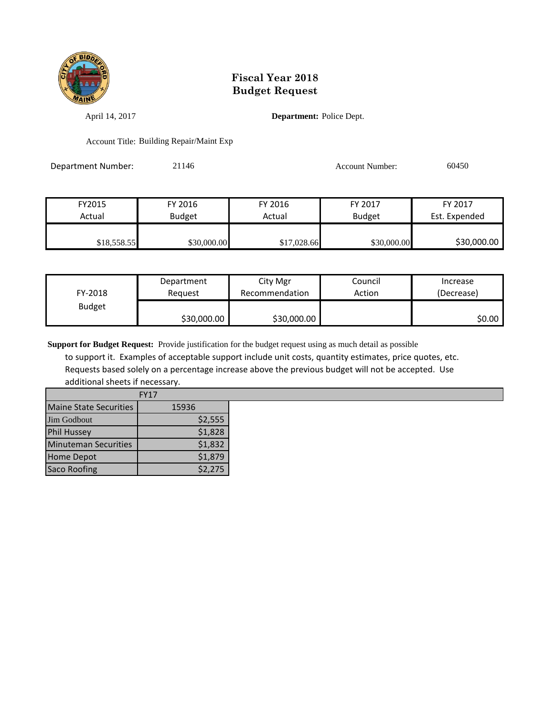

April 14, 2017 **Department:** Police Dept.

Account Title: Building Repair/Maint Exp

Department Number: 21146 21146 Account Number: 60450

FY2015 FY 2016 FY 2016 FY 2017 FY 2017 Actual Budget Actual Budget Est. Expended \$18,558.55 \$30,000.00 \$17,028.66 \$30,000.00 \$30,000.00

| FY-2018       | Department  | City Mgr       | Council | Increase   |
|---------------|-------------|----------------|---------|------------|
|               | Reauest     | Recommendation | Action  | (Decrease) |
| <b>Budget</b> | \$30,000.00 | \$30,000.00    |         | S0.00 l    |

**Support for Budget Request:** Provide justification for the budget request using as much detail as possible

 to support it. Examples of acceptable support include unit costs, quantity estimates, price quotes, etc. Requests based solely on a percentage increase above the previous budget will not be accepted. Use additional sheets if necessary.

|                               | <b>FY17</b> |
|-------------------------------|-------------|
| <b>Maine State Securities</b> | 15936       |
| <b>Jim Godbout</b>            | \$2,555     |
| <b>Phil Hussey</b>            | \$1,828     |
| <b>Minuteman Securities</b>   | \$1,832     |
| <b>Home Depot</b>             | \$1,879     |
| <b>Saco Roofing</b>           | \$2,275     |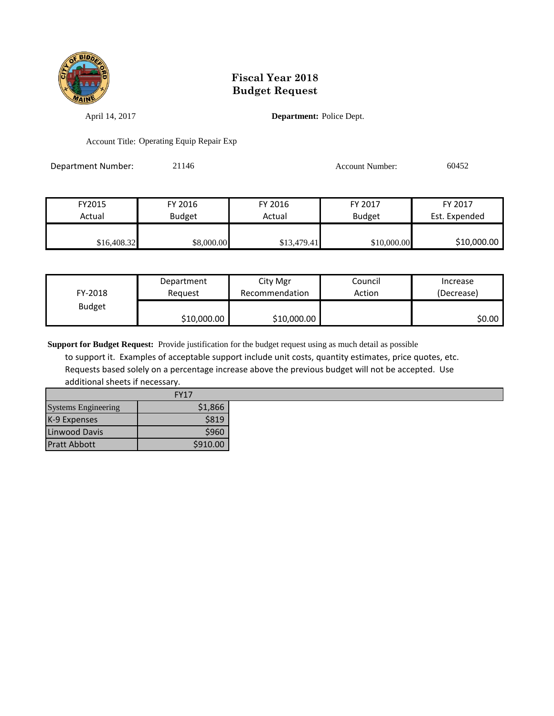

April 14, 2017 **Department:** Police Dept.

Account Title: Operating Equip Repair Exp

Department Number: 21146 21146 Account Number: 60452

| FY2015      | FY 2016       | FY 2016     | FY 2017       | FY 2017       |
|-------------|---------------|-------------|---------------|---------------|
| Actual      | <b>Budget</b> | Actual      | <b>Budget</b> | Est. Expended |
| \$16,408.32 | \$8,000.00    | \$13,479.41 | \$10,000.00   | \$10,000.00   |

| FY-2018       | Department  | City Mgr       | Council | Increase   |
|---------------|-------------|----------------|---------|------------|
|               | Reauest     | Recommendation | Action  | (Decrease) |
| <b>Budget</b> | \$10,000.00 | \$10,000.00    |         | SO.OO I    |

**Support for Budget Request:** Provide justification for the budget request using as much detail as possible

 to support it. Examples of acceptable support include unit costs, quantity estimates, price quotes, etc. Requests based solely on a percentage increase above the previous budget will not be accepted. Use additional sheets if necessary.

|                            | <b>FY17</b> |
|----------------------------|-------------|
| <b>Systems Engineering</b> | \$1,866     |
| K-9 Expenses               | \$819       |
| Linwood Davis              | \$960       |
| <b>Pratt Abbott</b>        | \$910.00    |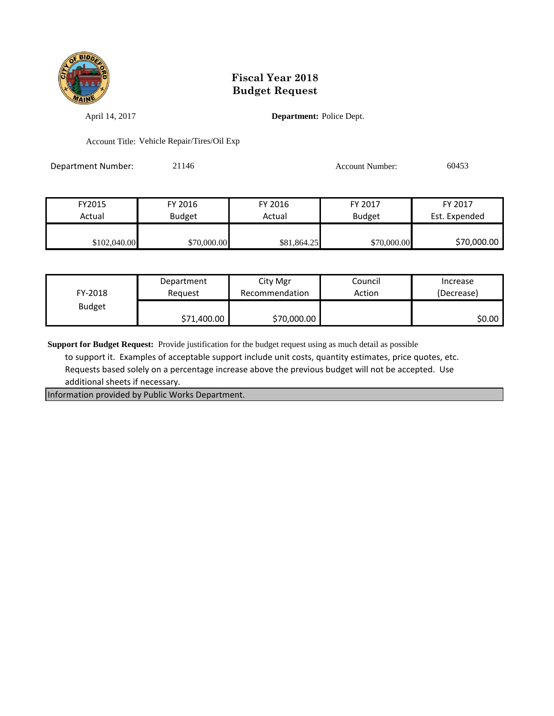

April 14, 2017 **Department:** Police Dept.

Account Title: Vehicle Repair/Tires/Oil Exp

Department Number: 21146 21146 Account Number: 60453

| FY2015       | FY 2016       | FY 2016     | FY 2017       | FY 2017       |
|--------------|---------------|-------------|---------------|---------------|
| Actual       | <b>Budget</b> | Actual      | <b>Budget</b> | Est. Expended |
|              |               |             |               |               |
| \$102,040.00 | \$70,000.00   | \$81,864.25 | \$70,000.00   | \$70,000.00   |

| FY-2018       | Department  | City Mgr       | Council | Increase   |
|---------------|-------------|----------------|---------|------------|
|               | Reauest     | Recommendation | Action  | (Decrease) |
| <b>Budget</b> | \$71,400.00 | \$70,000.00    |         | SO.OO I    |

**Support for Budget Request:** Provide justification for the budget request using as much detail as possible

 to support it. Examples of acceptable support include unit costs, quantity estimates, price quotes, etc. Requests based solely on a percentage increase above the previous budget will not be accepted. Use additional sheets if necessary.

Information provided by Public Works Department.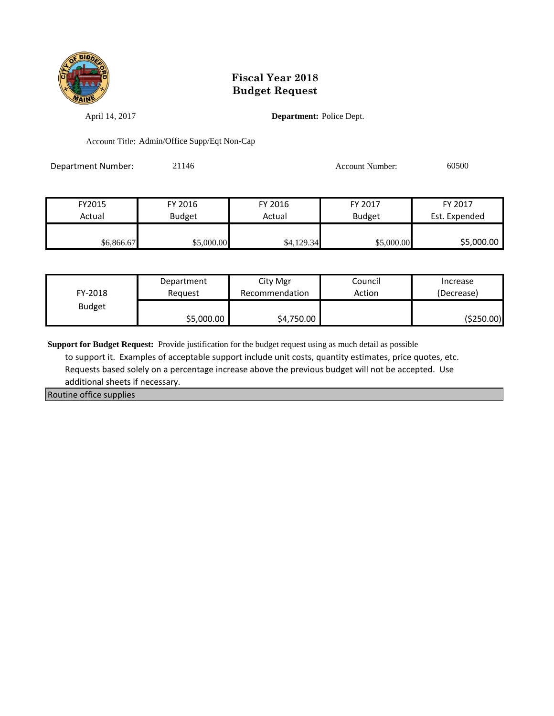

April 14, 2017 **Department:** Police Dept.

Account Title: Admin/Office Supp/Eqt Non-Cap

Department Number: 21146 21146 Account Number: 60500

| FY2015     | FY 2016       | FY 2016    | FY 2017       | FY 2017       |
|------------|---------------|------------|---------------|---------------|
| Actual     | <b>Budget</b> | Actual     | <b>Budget</b> | Est. Expended |
|            |               |            |               |               |
| \$6,866.67 | \$5,000.00    | \$4,129.34 | \$5,000.00    | \$5,000.00    |

| FY-2018       | Department | City Mgr       | Council | Increase   |
|---------------|------------|----------------|---------|------------|
|               | Reauest    | Recommendation | Action  | (Decrease) |
| <b>Budget</b> | \$5,000.00 | \$4,750.00     |         | (\$250.00) |

**Support for Budget Request:** Provide justification for the budget request using as much detail as possible

 to support it. Examples of acceptable support include unit costs, quantity estimates, price quotes, etc. Requests based solely on a percentage increase above the previous budget will not be accepted. Use additional sheets if necessary.

Routine office supplies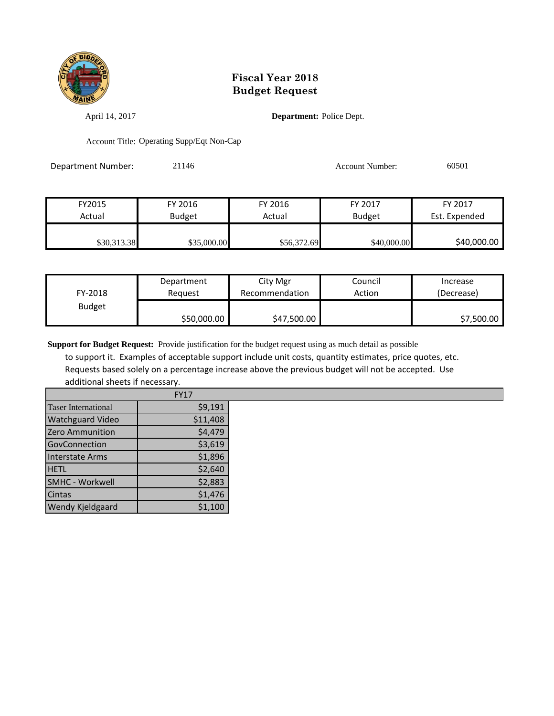

April 14, 2017 **Department:** Police Dept.

Account Title: Operating Supp/Eqt Non-Cap

Department Number: 21146 21146 Account Number: 60501

| FY2015      | FY 2016       | FY 2016     | FY 2017       | FY 2017       |
|-------------|---------------|-------------|---------------|---------------|
| Actual      | <b>Budget</b> | Actual      | <b>Budget</b> | Est. Expended |
|             |               |             |               |               |
| \$30,313.38 | \$35,000.00   | \$56,372.69 | \$40,000.00   | \$40,000.00   |

| FY-2018       | Department  | City Mgr       | Council | Increase   |
|---------------|-------------|----------------|---------|------------|
|               | Reguest     | Recommendation | Action  | (Decrease) |
| <b>Budget</b> | \$50,000.00 | \$47,500.00    |         | \$7,500.00 |

**Support for Budget Request:** Provide justification for the budget request using as much detail as possible

 to support it. Examples of acceptable support include unit costs, quantity estimates, price quotes, etc. Requests based solely on a percentage increase above the previous budget will not be accepted. Use additional sheets if necessary.

|                            | <b>FY17</b> |
|----------------------------|-------------|
| <b>Taser International</b> | \$9,191     |
| <b>Watchguard Video</b>    | \$11,408    |
| Zero Ammunition            | \$4,479     |
| GovConnection              | \$3,619     |
| <b>Interstate Arms</b>     | \$1,896     |
| <b>HETL</b>                | \$2,640     |
| <b>SMHC - Workwell</b>     | \$2,883     |
| Cintas                     | \$1,476     |
| <b>Wendy Kjeldgaard</b>    | \$1,100     |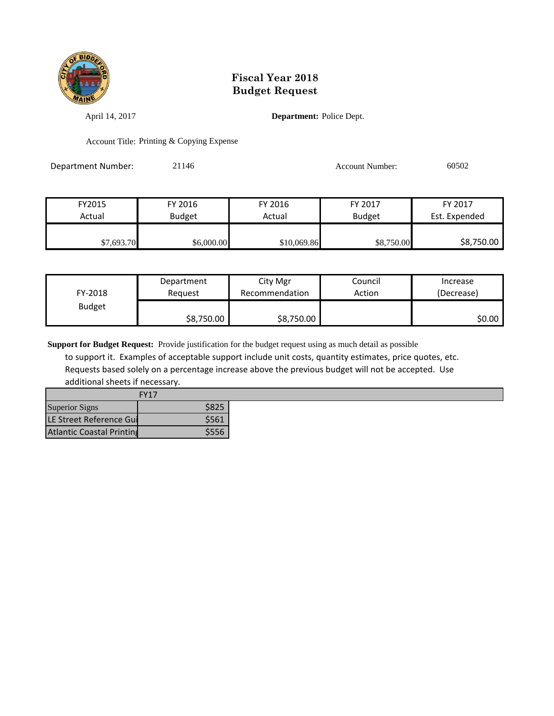

April 14, 2017 **Department:** Police Dept.

Account Title: Printing & Copying Expense

Department Number: 21146 21146 Account Number: 60502

| FY2015     | FY 2016       | FY 2016     | FY 2017       | FY 2017       |
|------------|---------------|-------------|---------------|---------------|
| Actual     | <b>Budget</b> | Actual      | <b>Budget</b> | Est. Expended |
|            |               |             |               |               |
| \$7,693.70 | \$6,000.00    | \$10,069.86 | \$8,750.00    | \$8,750.00    |

| FY-2018       | Department | City Mgr       | Council | Increase   |
|---------------|------------|----------------|---------|------------|
|               | Reguest    | Recommendation | Action  | (Decrease) |
| <b>Budget</b> | \$8,750.00 | \$8,750.00     |         | S0.00 I    |

**Support for Budget Request:** Provide justification for the budget request using as much detail as possible

 to support it. Examples of acceptable support include unit costs, quantity estimates, price quotes, etc. Requests based solely on a percentage increase above the previous budget will not be accepted. Use additional sheets if necessary.

| <b>FY17</b>                      |       |  |  |  |
|----------------------------------|-------|--|--|--|
| <b>Superior Signs</b>            | \$825 |  |  |  |
| LE Street Reference Gui          | \$561 |  |  |  |
| <b>Atlantic Coastal Printing</b> | \$556 |  |  |  |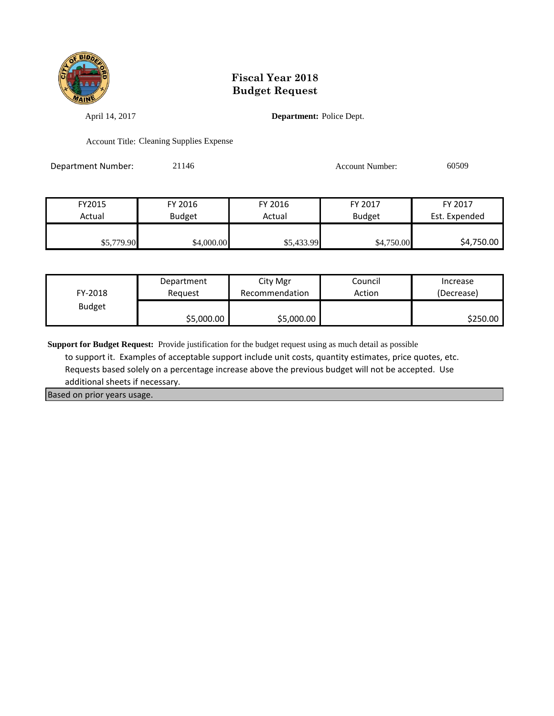

April 14, 2017 **Department:** Police Dept.

Account Title: Cleaning Supplies Expense

Department Number: 21146 21146 Account Number: 60509

| FY2015     | FY 2016       | FY 2016    | FY 2017       | FY 2017       |
|------------|---------------|------------|---------------|---------------|
| Actual     | <b>Budget</b> | Actual     | <b>Budget</b> | Est. Expended |
| \$5,779.90 | \$4,000.00    | \$5,433.99 | \$4,750.00    | \$4,750.00    |

| FY-2018       | Department | City Mgr       | Council | Increase   |
|---------------|------------|----------------|---------|------------|
|               | Reauest    | Recommendation | Action  | (Decrease) |
| <b>Budget</b> | \$5,000.00 | \$5,000.00     |         | \$250.00   |

**Support for Budget Request:** Provide justification for the budget request using as much detail as possible

 to support it. Examples of acceptable support include unit costs, quantity estimates, price quotes, etc. Requests based solely on a percentage increase above the previous budget will not be accepted. Use additional sheets if necessary.

Based on prior years usage.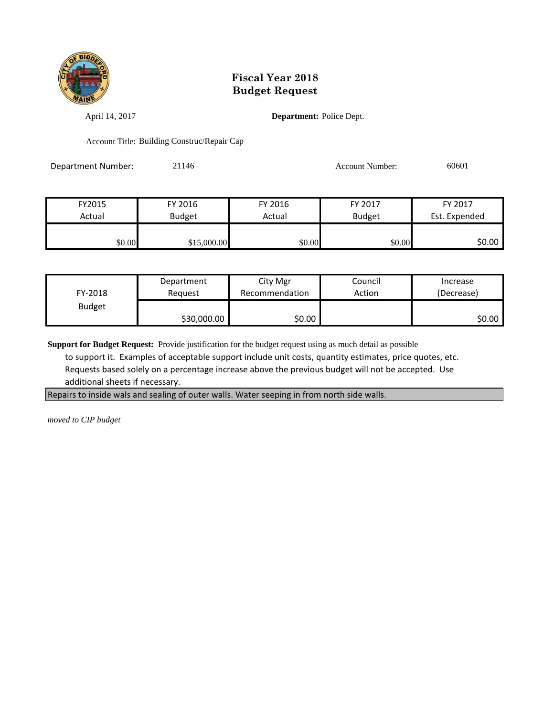

April 14, 2017 **Department:** Police Dept.

Account Title: Building Construc/Repair Cap

Department Number: 21146 21146 Account Number: 60601

FY2015 FY 2016 FY 2016 FY 2017 FY 2017 Actual | Budget | Actual | Budget Est. Expended \$0.00 \$15,000.00 \$0.00 \$0.00 \$0.00 \$0.00 \$0.00

| FY-2018       | Department  | City Mgr       | Council | Increase   |
|---------------|-------------|----------------|---------|------------|
|               | Reauest     | Recommendation | Action  | (Decrease) |
| <b>Budget</b> | \$30,000.00 | \$0.00         |         | \$0.00     |

**Support for Budget Request:** Provide justification for the budget request using as much detail as possible

 to support it. Examples of acceptable support include unit costs, quantity estimates, price quotes, etc. Requests based solely on a percentage increase above the previous budget will not be accepted. Use additional sheets if necessary.

Repairs to inside wals and sealing of outer walls. Water seeping in from north side walls.

*moved to CIP budget*